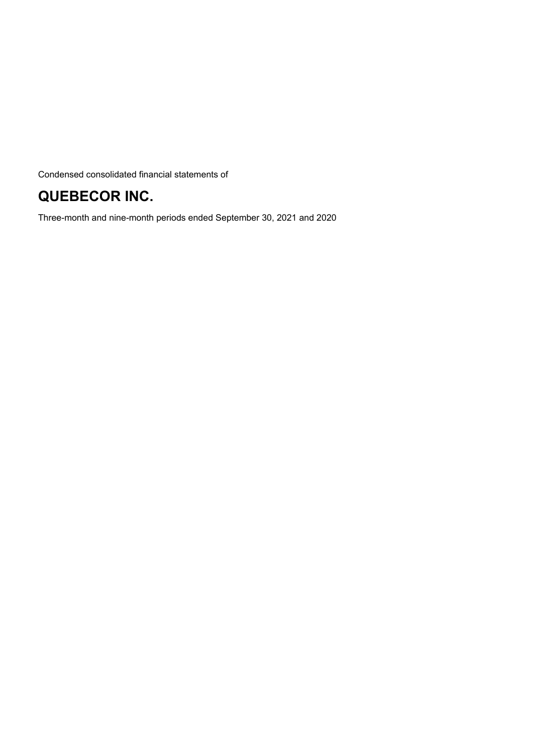Condensed consolidated financial statements of

# **QUEBECOR INC.**

Three-month and nine-month periods ended September 30, 2021 and 2020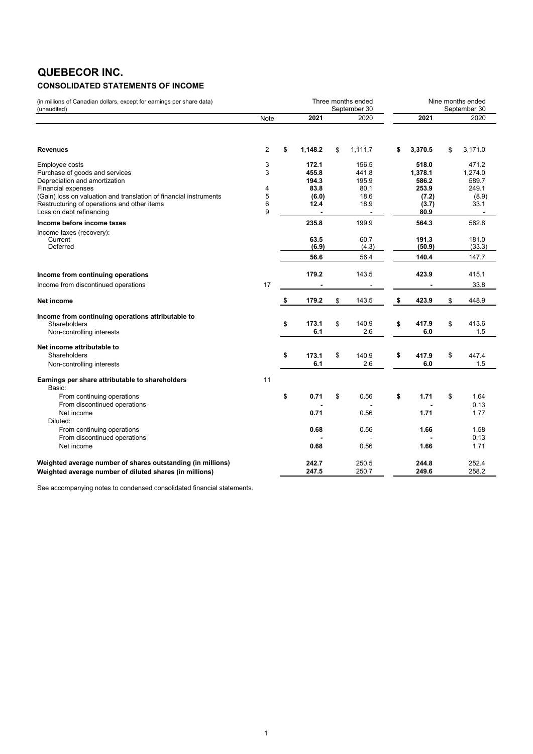## **QUEBECOR INC.**

### **CONSOLIDATED STATEMENTS OF INCOME**

| (in millions of Canadian dollars, except for earnings per share data)<br>(unaudited)                                                                                                | Three months ended<br>September 30 |      |                                          |    |                                         | Nine months ended<br>September 30 |                                             |    |                                             |  |
|-------------------------------------------------------------------------------------------------------------------------------------------------------------------------------------|------------------------------------|------|------------------------------------------|----|-----------------------------------------|-----------------------------------|---------------------------------------------|----|---------------------------------------------|--|
|                                                                                                                                                                                     | Note                               |      | 2021                                     |    | 2020                                    |                                   | 2021                                        |    | 2020                                        |  |
| <b>Revenues</b>                                                                                                                                                                     | $\overline{2}$                     | \$   | 1,148.2                                  | \$ | 1.111.7                                 | \$                                | 3,370.5                                     | \$ | 3,171.0                                     |  |
| Employee costs<br>Purchase of goods and services<br>Depreciation and amortization<br><b>Financial expenses</b><br>(Gain) loss on valuation and translation of financial instruments | 3<br>3<br>4<br>5                   |      | 172.1<br>455.8<br>194.3<br>83.8<br>(6.0) |    | 156.5<br>441.8<br>195.9<br>80.1<br>18.6 |                                   | 518.0<br>1,378.1<br>586.2<br>253.9<br>(7.2) |    | 471.2<br>1,274.0<br>589.7<br>249.1<br>(8.9) |  |
| Restructuring of operations and other items<br>Loss on debt refinancing                                                                                                             | 6<br>9                             |      | 12.4                                     |    | 18.9                                    |                                   | (3.7)<br>80.9                               |    | 33.1                                        |  |
| Income before income taxes<br>Income taxes (recovery):<br>Current<br>Deferred                                                                                                       |                                    |      | 235.8<br>63.5<br>(6.9)<br>56.6           |    | 199.9<br>60.7<br>(4.3)<br>56.4          |                                   | 564.3<br>191.3<br>(50.9)<br>140.4           |    | 562.8<br>181.0<br>(33.3)<br>147.7           |  |
| Income from continuing operations                                                                                                                                                   |                                    |      | 179.2                                    |    | 143.5                                   |                                   | 423.9                                       |    | 415.1                                       |  |
| Income from discontinued operations                                                                                                                                                 | 17                                 |      | $\blacksquare$                           |    |                                         |                                   |                                             |    | 33.8                                        |  |
| Net income                                                                                                                                                                          |                                    | - \$ | 179.2                                    | \$ | 143.5                                   | \$                                | 423.9                                       | \$ | 448.9                                       |  |
| Income from continuing operations attributable to<br>Shareholders<br>Non-controlling interests                                                                                      |                                    | \$   | 173.1<br>6.1                             | \$ | 140.9<br>2.6                            | \$                                | 417.9<br>6.0                                | \$ | 413.6<br>1.5                                |  |
| Net income attributable to<br>Shareholders<br>Non-controlling interests                                                                                                             |                                    | \$   | 173.1<br>6.1                             | \$ | 140.9<br>2.6                            | \$                                | 417.9<br>6.0                                | \$ | 447.4<br>1.5                                |  |
| Earnings per share attributable to shareholders<br>Basic:                                                                                                                           | 11                                 |      |                                          |    |                                         |                                   |                                             |    |                                             |  |
| From continuing operations<br>From discontinued operations<br>Net income                                                                                                            |                                    | \$   | 0.71<br>0.71                             | \$ | 0.56<br>0.56                            | \$                                | 1.71<br>1.71                                | \$ | 1.64<br>0.13<br>1.77                        |  |
| Diluted:<br>From continuing operations<br>From discontinued operations<br>Net income                                                                                                |                                    |      | 0.68<br>0.68                             |    | 0.56<br>0.56                            |                                   | 1.66<br>1.66                                |    | 1.58<br>0.13<br>1.71                        |  |
| Weighted average number of shares outstanding (in millions)<br>Weighted average number of diluted shares (in millions)                                                              |                                    |      | 242.7<br>247.5                           |    | 250.5<br>250.7                          |                                   | 244.8<br>249.6                              |    | 252.4<br>258.2                              |  |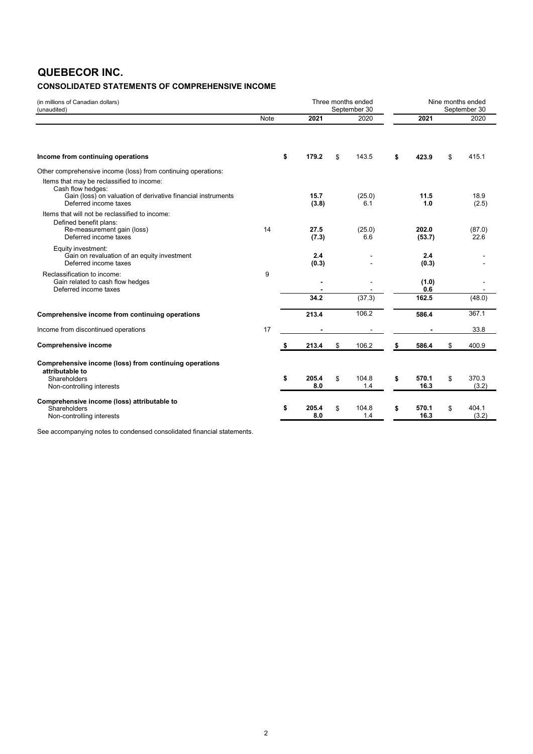## **QUEBECOR INC.**

### **CONSOLIDATED STATEMENTS OF COMPREHENSIVE INCOME**

| (in millions of Canadian dollars)<br>(unaudited)                                                                                                        |             |                                  | Three months ended<br>September 30 |                       | Nine months ended<br>September 30 |
|---------------------------------------------------------------------------------------------------------------------------------------------------------|-------------|----------------------------------|------------------------------------|-----------------------|-----------------------------------|
|                                                                                                                                                         | <b>Note</b> | 2021                             | 2020                               | 2021                  | 2020                              |
| Income from continuing operations                                                                                                                       |             | \$<br>179.2                      | \$<br>143.5                        | \$<br>423.9           | \$<br>415.1                       |
| Other comprehensive income (loss) from continuing operations:                                                                                           |             |                                  |                                    |                       |                                   |
| Items that may be reclassified to income:<br>Cash flow hedges:<br>Gain (loss) on valuation of derivative financial instruments<br>Deferred income taxes |             | 15.7<br>(3.8)                    | (25.0)<br>6.1                      | 11.5<br>1.0           | 18.9<br>(2.5)                     |
| Items that will not be reclassified to income:<br>Defined benefit plans:<br>Re-measurement gain (loss)<br>Deferred income taxes                         | 14          | 27.5<br>(7.3)                    | (25.0)<br>6.6                      | 202.0<br>(53.7)       | (87.0)<br>22.6                    |
| Equity investment:<br>Gain on revaluation of an equity investment<br>Deferred income taxes                                                              |             | 2.4<br>(0.3)                     |                                    | 2.4<br>(0.3)          |                                   |
| Reclassification to income:<br>Gain related to cash flow hedges<br>Deferred income taxes                                                                | 9           | $\overline{\phantom{0}}$<br>34.2 | (37.3)                             | (1.0)<br>0.6<br>162.5 | (48.0)                            |
| Comprehensive income from continuing operations                                                                                                         |             | 213.4                            | 106.2                              | 586.4                 | 367.1                             |
| Income from discontinued operations                                                                                                                     | 17          |                                  |                                    |                       | 33.8                              |
| <b>Comprehensive income</b>                                                                                                                             |             | \$<br>213.4                      | \$<br>106.2                        | \$<br>586.4           | \$<br>400.9                       |
| Comprehensive income (loss) from continuing operations<br>attributable to<br>Shareholders<br>Non-controlling interests                                  |             | \$<br>205.4<br>8.0               | \$<br>104.8<br>1.4                 | \$<br>570.1<br>16.3   | \$<br>370.3<br>(3.2)              |
| Comprehensive income (loss) attributable to<br>Shareholders<br>Non-controlling interests                                                                |             | \$<br>205.4<br>8.0               | \$<br>104.8<br>1.4                 | \$<br>570.1<br>16.3   | \$<br>404.1<br>(3.2)              |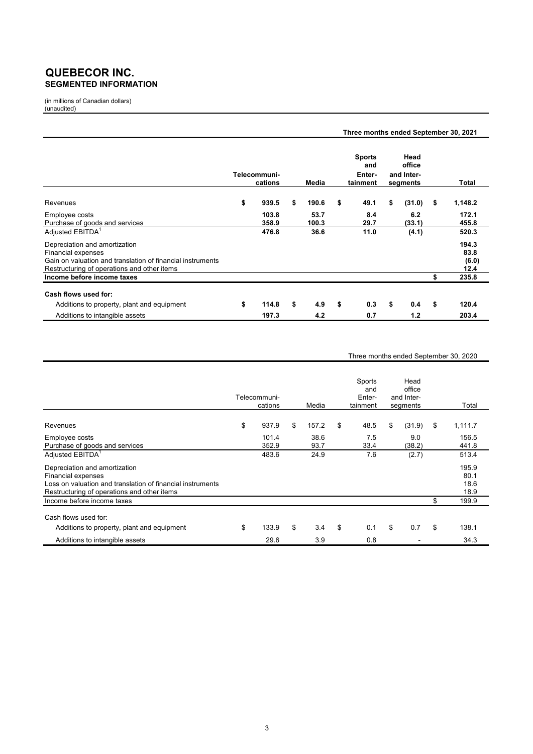### **QUEBECOR INC. SEGMENTED INFORMATION**

(in millions of Canadian dollars) (unaudited)

|                                                                                                                                                                  |                         |               | Three months ended September 30, 2021      |                                          |                                |
|------------------------------------------------------------------------------------------------------------------------------------------------------------------|-------------------------|---------------|--------------------------------------------|------------------------------------------|--------------------------------|
|                                                                                                                                                                  | Telecommuni-<br>cations | Media         | <b>Sports</b><br>and<br>Enter-<br>tainment | Head<br>office<br>and Inter-<br>segments | Total                          |
| Revenues                                                                                                                                                         | \$<br>939.5             | \$<br>190.6   | \$<br>49.1                                 | \$<br>(31.0)                             | \$<br>1,148.2                  |
| Employee costs<br>Purchase of goods and services                                                                                                                 | 103.8<br>358.9          | 53.7<br>100.3 | 8.4<br>29.7                                | 6.2<br>(33.1)                            | 172.1<br>455.8                 |
| Adjusted EBITDA <sup>1</sup>                                                                                                                                     | 476.8                   | 36.6          | 11.0                                       | (4.1)                                    | 520.3                          |
| Depreciation and amortization<br>Financial expenses<br>Gain on valuation and translation of financial instruments<br>Restructuring of operations and other items |                         |               |                                            |                                          | 194.3<br>83.8<br>(6.0)<br>12.4 |
| Income before income taxes                                                                                                                                       |                         |               |                                            |                                          | \$<br>235.8                    |
| Cash flows used for:<br>Additions to property, plant and equipment                                                                                               | \$<br>114.8             | \$<br>4.9     | \$<br>0.3                                  | \$<br>0.4                                | \$<br>120.4                    |
| Additions to intangible assets                                                                                                                                   | 197.3                   | 4.2           | 0.7                                        | 1.2                                      | 203.4                          |

#### Three months ended September 30, 2020

|                                                                                                                                                                  | Telecommuni-<br>cations | Media        | Sports<br>and<br>Enter-<br>tainment | Head<br>office<br>and Inter-<br>segments | Total                         |
|------------------------------------------------------------------------------------------------------------------------------------------------------------------|-------------------------|--------------|-------------------------------------|------------------------------------------|-------------------------------|
| Revenues                                                                                                                                                         | \$<br>937.9             | \$<br>157.2  | \$<br>48.5                          | \$<br>(31.9)                             | \$<br>1,111.7                 |
| Employee costs<br>Purchase of goods and services                                                                                                                 | 101.4<br>352.9          | 38.6<br>93.7 | 7.5<br>33.4                         | 9.0<br>(38.2)                            | 156.5<br>441.8                |
| Adjusted EBITDA <sup>1</sup>                                                                                                                                     | 483.6                   | 24.9         | 7.6                                 | (2.7)                                    | 513.4                         |
| Depreciation and amortization<br>Financial expenses<br>Loss on valuation and translation of financial instruments<br>Restructuring of operations and other items |                         |              |                                     |                                          | 195.9<br>80.1<br>18.6<br>18.9 |
| Income before income taxes                                                                                                                                       |                         |              |                                     |                                          | \$<br>199.9                   |
| Cash flows used for:                                                                                                                                             |                         |              |                                     |                                          |                               |
| Additions to property, plant and equipment                                                                                                                       | \$<br>133.9             | \$<br>3.4    | \$<br>0.1                           | \$<br>0.7                                | \$<br>138.1                   |
| Additions to intangible assets                                                                                                                                   | 29.6                    | 3.9          | 0.8                                 |                                          | 34.3                          |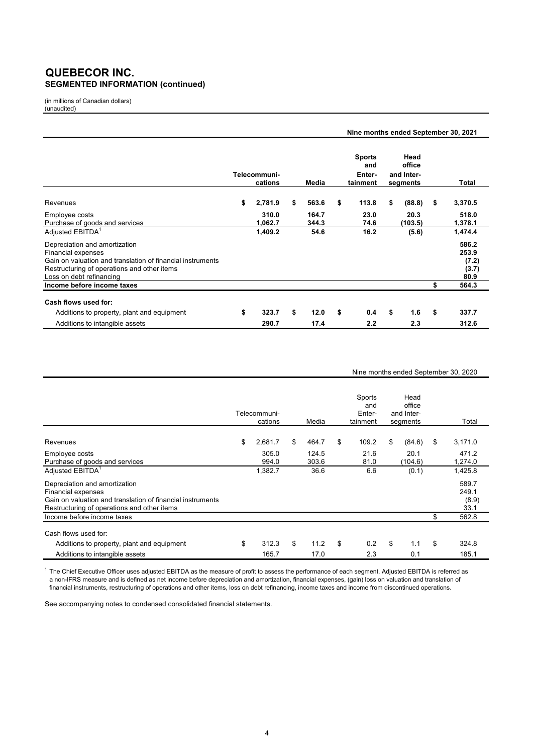### **QUEBECOR INC. SEGMENTED INFORMATION (continued)**

(in millions of Canadian dollars) (unaudited)

|                                                                                                                                                                                              |                         |                | Nine months ended September 30, 2021       |                                          |                                          |
|----------------------------------------------------------------------------------------------------------------------------------------------------------------------------------------------|-------------------------|----------------|--------------------------------------------|------------------------------------------|------------------------------------------|
|                                                                                                                                                                                              | Telecommuni-<br>cations | Media          | <b>Sports</b><br>and<br>Enter-<br>tainment | Head<br>office<br>and Inter-<br>segments | <b>Total</b>                             |
| Revenues                                                                                                                                                                                     | \$<br>2,781.9           | \$<br>563.6    | \$<br>113.8                                | \$<br>(88.8)                             | \$<br>3,370.5                            |
| Employee costs<br>Purchase of goods and services                                                                                                                                             | 310.0<br>1,062.7        | 164.7<br>344.3 | 23.0<br>74.6                               | 20.3<br>(103.5)                          | 518.0<br>1,378.1                         |
| Adjusted EBITDA <sup>1</sup>                                                                                                                                                                 | 1,409.2                 | 54.6           | 16.2                                       | (5.6)                                    | 1,474.4                                  |
| Depreciation and amortization<br>Financial expenses<br>Gain on valuation and translation of financial instruments<br>Restructuring of operations and other items<br>Loss on debt refinancing |                         |                |                                            |                                          | 586.2<br>253.9<br>(7.2)<br>(3.7)<br>80.9 |
| Income before income taxes                                                                                                                                                                   |                         |                |                                            |                                          | \$<br>564.3                              |
| Cash flows used for:                                                                                                                                                                         |                         |                |                                            |                                          |                                          |
| Additions to property, plant and equipment                                                                                                                                                   | \$<br>323.7             | \$<br>12.0     | \$<br>0.4                                  | \$<br>1.6                                | \$<br>337.7                              |
| Additions to intangible assets                                                                                                                                                               | 290.7                   | 17.4           | 2.2                                        | 2.3                                      | 312.6                                    |

Nine months ended September 30, 2020

|                                                            | Telecommuni-<br>cations | Media       | Sports<br>and<br>Enter-<br>tainment | Head<br>office<br>and Inter-<br>segments | Total         |
|------------------------------------------------------------|-------------------------|-------------|-------------------------------------|------------------------------------------|---------------|
|                                                            |                         |             |                                     |                                          |               |
| Revenues                                                   | \$<br>2,681.7           | \$<br>464.7 | \$<br>109.2                         | \$<br>(84.6)                             | \$<br>3,171.0 |
| Employee costs                                             | 305.0                   | 124.5       | 21.6                                | 20.1                                     | 471.2         |
| Purchase of goods and services                             | 994.0                   | 303.6       | 81.0                                | (104.6)                                  | 1,274.0       |
| Adjusted EBITDA <sup>1</sup>                               | 1,382.7                 | 36.6        | 6.6                                 | (0.1)                                    | 1,425.8       |
| Depreciation and amortization                              |                         |             |                                     |                                          | 589.7         |
| Financial expenses                                         |                         |             |                                     |                                          | 249.1         |
| Gain on valuation and translation of financial instruments |                         |             |                                     |                                          | (8.9)         |
| Restructuring of operations and other items                |                         |             |                                     |                                          | 33.1          |
| Income before income taxes                                 |                         |             |                                     |                                          | \$<br>562.8   |
| Cash flows used for:                                       |                         |             |                                     |                                          |               |
| Additions to property, plant and equipment                 | \$<br>312.3             | \$<br>11.2  | \$<br>0.2                           | \$<br>1.1                                | \$<br>324.8   |
| Additions to intangible assets                             | 165.7                   | 17.0        | 2.3                                 | 0.1                                      | 185.1         |

 $^{\rm 1}$  The Chief Executive Officer uses adjusted EBITDA as the measure of profit to assess the performance of each segment. Adjusted EBITDA is referred as a non-IFRS measure and is defined as net income before depreciation and amortization, financial expenses, (gain) loss on valuation and translation of financial instruments, restructuring of operations and other items, loss on debt refinancing, income taxes and income from discontinued operations.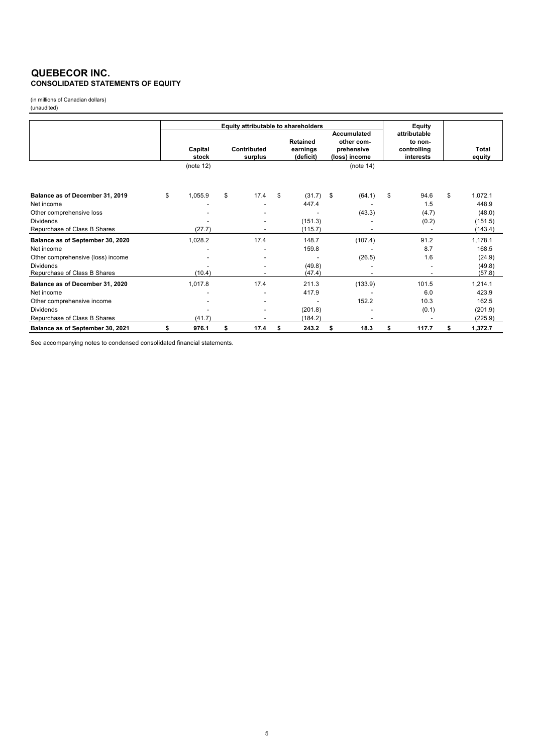#### **QUEBECOR INC. CONSOLIDATED STATEMENTS OF EQUITY**

(in millions of Canadian dollars) (unaudited)

|                                   | <b>Equity attributable to shareholders</b> |                  |    |                        |    |                                          |    |                                                                 |    |                                                               |    |                        |
|-----------------------------------|--------------------------------------------|------------------|----|------------------------|----|------------------------------------------|----|-----------------------------------------------------------------|----|---------------------------------------------------------------|----|------------------------|
|                                   |                                            | Capital<br>stock |    | Contributed<br>surplus |    | <b>Retained</b><br>earnings<br>(deficit) |    | <b>Accumulated</b><br>other com-<br>prehensive<br>(loss) income |    | Equity<br>attributable<br>to non-<br>controlling<br>interests |    | <b>Total</b><br>equity |
|                                   |                                            | (note $12$ )     |    |                        |    |                                          |    | (note 14)                                                       |    |                                                               |    |                        |
| Balance as of December 31, 2019   | \$                                         | 1,055.9          | \$ | 17.4                   | \$ | (31.7)                                   | \$ | (64.1)                                                          | \$ | 94.6                                                          | \$ | 1,072.1                |
| Net income                        |                                            |                  |    |                        |    | 447.4                                    |    |                                                                 |    | 1.5                                                           |    | 448.9                  |
| Other comprehensive loss          |                                            |                  |    |                        |    |                                          |    | (43.3)                                                          |    | (4.7)                                                         |    | (48.0)                 |
| <b>Dividends</b>                  |                                            |                  |    |                        |    | (151.3)                                  |    |                                                                 |    | (0.2)                                                         |    | (151.5)                |
| Repurchase of Class B Shares      |                                            | (27.7)           |    |                        |    | (115.7)                                  |    |                                                                 |    |                                                               |    | (143.4)                |
| Balance as of September 30, 2020  |                                            | 1,028.2          |    | 17.4                   |    | 148.7                                    |    | (107.4)                                                         |    | 91.2                                                          |    | 1,178.1                |
| Net income                        |                                            |                  |    |                        |    | 159.8                                    |    |                                                                 |    | 8.7                                                           |    | 168.5                  |
| Other comprehensive (loss) income |                                            |                  |    |                        |    |                                          |    | (26.5)                                                          |    | 1.6                                                           |    | (24.9)                 |
| <b>Dividends</b>                  |                                            |                  |    |                        |    | (49.8)                                   |    |                                                                 |    |                                                               |    | (49.8)                 |
| Repurchase of Class B Shares      |                                            | (10.4)           |    |                        |    | (47.4)                                   |    |                                                                 |    | ٠                                                             |    | (57.8)                 |
| Balance as of December 31, 2020   |                                            | 1,017.8          |    | 17.4                   |    | 211.3                                    |    | (133.9)                                                         |    | 101.5                                                         |    | 1,214.1                |
| Net income                        |                                            |                  |    |                        |    | 417.9                                    |    |                                                                 |    | 6.0                                                           |    | 423.9                  |
| Other comprehensive income        |                                            |                  |    |                        |    |                                          |    | 152.2                                                           |    | 10.3                                                          |    | 162.5                  |
| <b>Dividends</b>                  |                                            |                  |    |                        |    | (201.8)                                  |    |                                                                 |    | (0.1)                                                         |    | (201.9)                |
| Repurchase of Class B Shares      |                                            | (41.7)           |    |                        |    | (184.2)                                  |    |                                                                 |    |                                                               |    | (225.9)                |
| Balance as of September 30, 2021  | \$                                         | 976.1            | \$ | 17.4                   | \$ | 243.2                                    | \$ | 18.3                                                            | \$ | 117.7                                                         | \$ | 1,372.7                |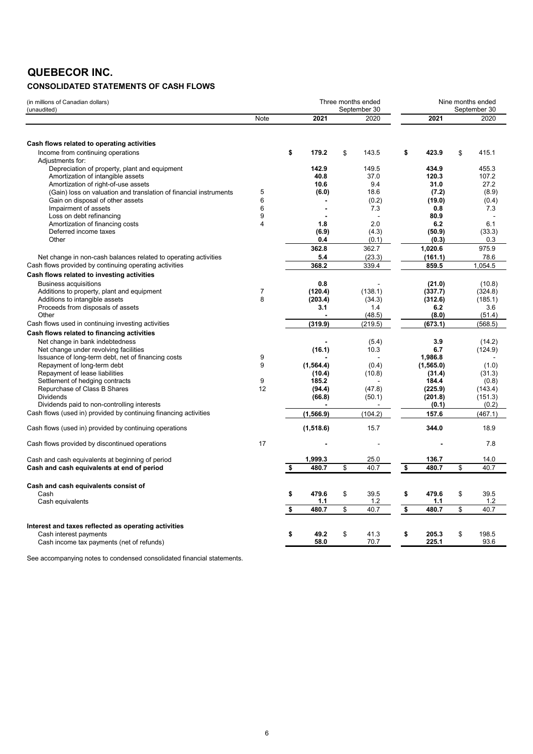## **QUEBECOR INC.**

### **CONSOLIDATED STATEMENTS OF CASH FLOWS**

| 2021<br>2021<br>2020<br>2020<br>Note<br>Cash flows related to operating activities<br>\$<br>423.9<br>\$<br>Income from continuing operations<br>179.2<br>\$<br>143.5<br>\$<br>415.1<br>Adjustments for:<br>142.9<br>149.5<br>434.9<br>455.3<br>Depreciation of property, plant and equipment<br>Amortization of intangible assets<br>40.8<br>37.0<br>120.3<br>107.2<br>Amortization of right-of-use assets<br>10.6<br>9.4<br>31.0<br>27.2<br>(Gain) loss on valuation and translation of financial instruments<br>(6.0)<br>18.6<br>(7.2)<br>(8.9)<br>5<br>6<br>Gain on disposal of other assets<br>(19.0)<br>(0.4)<br>(0.2)<br>6<br>0.8<br>Impairment of assets<br>7.3<br>7.3<br>9<br>80.9<br>Loss on debt refinancing<br>$\overline{a}$<br>Amortization of financing costs<br>4<br>1.8<br>2.0<br>6.2<br>6.1<br>Deferred income taxes<br>(6.9)<br>(4.3)<br>(50.9)<br>(33.3)<br>Other<br>0.4<br>(0.3)<br>(0.1)<br>0.3<br>362.8<br>362.7<br>1,020.6<br>975.9<br>5.4<br>(23.3)<br>(161.1)<br>78.6<br>Net change in non-cash balances related to operating activities<br>368.2<br>Cash flows provided by continuing operating activities<br>339.4<br>859.5<br>1,054.5<br>Cash flows related to investing activities<br>0.8<br><b>Business acquisitions</b><br>(21.0)<br>(10.8)<br>7<br>(120.4)<br>(138.1)<br>(337.7)<br>(324.8)<br>Additions to property, plant and equipment<br>8<br>Additions to intangible assets<br>(203.4)<br>(34.3)<br>(312.6)<br>(185.1)<br>Proceeds from disposals of assets<br>3.1<br>1.4<br>6.2<br>3.6<br>Other<br>(48.5)<br>(8.0)<br>(51.4)<br>Cash flows used in continuing investing activities<br>(319.9)<br>(219.5)<br>(673.1)<br>(568.5)<br>Cash flows related to financing activities<br>3.9<br>Net change in bank indebtedness<br>(5.4)<br>(14.2)<br>10.3<br>6.7<br>Net change under revolving facilities<br>(16.1)<br>(124.9)<br>9<br>1,986.8<br>Issuance of long-term debt, net of financing costs<br>9<br>Repayment of long-term debt<br>(1, 564.4)<br>(0.4)<br>(1, 565.0)<br>(1.0)<br>Repayment of lease liabilities<br>(31.4)<br>(10.4)<br>(10.8)<br>(31.3)<br>Settlement of hedging contracts<br>9<br>185.2<br>184.4<br>(0.8)<br>Repurchase of Class B Shares<br>12<br>(47.8)<br>(225.9)<br>(94.4)<br>(143.4)<br><b>Dividends</b><br>(201.8)<br>(66.8)<br>(50.1)<br>(151.3)<br>Dividends paid to non-controlling interests<br>(0.1)<br>(0.2)<br>Cash flows (used in) provided by continuing financing activities<br>(104.2)<br>(1, 566.9)<br>157.6<br>(467.1)<br>(1,518.6)<br>15.7<br>344.0<br>18.9<br>Cash flows (used in) provided by continuing operations<br>17<br>7.8<br>Cash flows provided by discontinued operations<br>Cash and cash equivalents at beginning of period<br>1,999.3<br>25.0<br>136.7<br>14.0<br>\$<br>\$<br>\$<br>40.7<br>Cash and cash equivalents at end of period<br>\$<br>480.7<br>40.7<br>480.7<br>Cash and cash equivalents consist of<br>\$<br>479.6<br>39.5<br>\$<br>479.6<br>\$<br>39.5<br>\$<br>Cash<br>1.1<br>1.2<br>1.1<br>1.2<br>Cash equivalents<br>\$<br>40.7<br>\$<br>\$<br>40.7<br>\$<br>480.7<br>480.7<br>Interest and taxes reflected as operating activities<br>\$<br>\$<br>\$<br>49.2<br>41.3<br>\$<br>205.3<br>198.5<br>Cash interest payments<br>58.0<br>70.7<br>225.1<br>93.6<br>Cash income tax payments (net of refunds) | (in millions of Canadian dollars)<br>(unaudited) |  |  | Three months ended<br>September 30 | Nine months ended<br>September 30 |  |  |  |  |
|----------------------------------------------------------------------------------------------------------------------------------------------------------------------------------------------------------------------------------------------------------------------------------------------------------------------------------------------------------------------------------------------------------------------------------------------------------------------------------------------------------------------------------------------------------------------------------------------------------------------------------------------------------------------------------------------------------------------------------------------------------------------------------------------------------------------------------------------------------------------------------------------------------------------------------------------------------------------------------------------------------------------------------------------------------------------------------------------------------------------------------------------------------------------------------------------------------------------------------------------------------------------------------------------------------------------------------------------------------------------------------------------------------------------------------------------------------------------------------------------------------------------------------------------------------------------------------------------------------------------------------------------------------------------------------------------------------------------------------------------------------------------------------------------------------------------------------------------------------------------------------------------------------------------------------------------------------------------------------------------------------------------------------------------------------------------------------------------------------------------------------------------------------------------------------------------------------------------------------------------------------------------------------------------------------------------------------------------------------------------------------------------------------------------------------------------------------------------------------------------------------------------------------------------------------------------------------------------------------------------------------------------------------------------------------------------------------------------------------------------------------------------------------------------------------------------------------------------------------------------------------------------------------------------------------------------------------------------------------------------------------------------------------------------------------------------------------------------------------------------------------------------------------------------------------------------------------------------------------------------------------------------------------------------------------------|--------------------------------------------------|--|--|------------------------------------|-----------------------------------|--|--|--|--|
|                                                                                                                                                                                                                                                                                                                                                                                                                                                                                                                                                                                                                                                                                                                                                                                                                                                                                                                                                                                                                                                                                                                                                                                                                                                                                                                                                                                                                                                                                                                                                                                                                                                                                                                                                                                                                                                                                                                                                                                                                                                                                                                                                                                                                                                                                                                                                                                                                                                                                                                                                                                                                                                                                                                                                                                                                                                                                                                                                                                                                                                                                                                                                                                                                                                                                                                |                                                  |  |  |                                    |                                   |  |  |  |  |
|                                                                                                                                                                                                                                                                                                                                                                                                                                                                                                                                                                                                                                                                                                                                                                                                                                                                                                                                                                                                                                                                                                                                                                                                                                                                                                                                                                                                                                                                                                                                                                                                                                                                                                                                                                                                                                                                                                                                                                                                                                                                                                                                                                                                                                                                                                                                                                                                                                                                                                                                                                                                                                                                                                                                                                                                                                                                                                                                                                                                                                                                                                                                                                                                                                                                                                                |                                                  |  |  |                                    |                                   |  |  |  |  |
|                                                                                                                                                                                                                                                                                                                                                                                                                                                                                                                                                                                                                                                                                                                                                                                                                                                                                                                                                                                                                                                                                                                                                                                                                                                                                                                                                                                                                                                                                                                                                                                                                                                                                                                                                                                                                                                                                                                                                                                                                                                                                                                                                                                                                                                                                                                                                                                                                                                                                                                                                                                                                                                                                                                                                                                                                                                                                                                                                                                                                                                                                                                                                                                                                                                                                                                |                                                  |  |  |                                    |                                   |  |  |  |  |
|                                                                                                                                                                                                                                                                                                                                                                                                                                                                                                                                                                                                                                                                                                                                                                                                                                                                                                                                                                                                                                                                                                                                                                                                                                                                                                                                                                                                                                                                                                                                                                                                                                                                                                                                                                                                                                                                                                                                                                                                                                                                                                                                                                                                                                                                                                                                                                                                                                                                                                                                                                                                                                                                                                                                                                                                                                                                                                                                                                                                                                                                                                                                                                                                                                                                                                                |                                                  |  |  |                                    |                                   |  |  |  |  |
|                                                                                                                                                                                                                                                                                                                                                                                                                                                                                                                                                                                                                                                                                                                                                                                                                                                                                                                                                                                                                                                                                                                                                                                                                                                                                                                                                                                                                                                                                                                                                                                                                                                                                                                                                                                                                                                                                                                                                                                                                                                                                                                                                                                                                                                                                                                                                                                                                                                                                                                                                                                                                                                                                                                                                                                                                                                                                                                                                                                                                                                                                                                                                                                                                                                                                                                |                                                  |  |  |                                    |                                   |  |  |  |  |
|                                                                                                                                                                                                                                                                                                                                                                                                                                                                                                                                                                                                                                                                                                                                                                                                                                                                                                                                                                                                                                                                                                                                                                                                                                                                                                                                                                                                                                                                                                                                                                                                                                                                                                                                                                                                                                                                                                                                                                                                                                                                                                                                                                                                                                                                                                                                                                                                                                                                                                                                                                                                                                                                                                                                                                                                                                                                                                                                                                                                                                                                                                                                                                                                                                                                                                                |                                                  |  |  |                                    |                                   |  |  |  |  |
|                                                                                                                                                                                                                                                                                                                                                                                                                                                                                                                                                                                                                                                                                                                                                                                                                                                                                                                                                                                                                                                                                                                                                                                                                                                                                                                                                                                                                                                                                                                                                                                                                                                                                                                                                                                                                                                                                                                                                                                                                                                                                                                                                                                                                                                                                                                                                                                                                                                                                                                                                                                                                                                                                                                                                                                                                                                                                                                                                                                                                                                                                                                                                                                                                                                                                                                |                                                  |  |  |                                    |                                   |  |  |  |  |
|                                                                                                                                                                                                                                                                                                                                                                                                                                                                                                                                                                                                                                                                                                                                                                                                                                                                                                                                                                                                                                                                                                                                                                                                                                                                                                                                                                                                                                                                                                                                                                                                                                                                                                                                                                                                                                                                                                                                                                                                                                                                                                                                                                                                                                                                                                                                                                                                                                                                                                                                                                                                                                                                                                                                                                                                                                                                                                                                                                                                                                                                                                                                                                                                                                                                                                                |                                                  |  |  |                                    |                                   |  |  |  |  |
|                                                                                                                                                                                                                                                                                                                                                                                                                                                                                                                                                                                                                                                                                                                                                                                                                                                                                                                                                                                                                                                                                                                                                                                                                                                                                                                                                                                                                                                                                                                                                                                                                                                                                                                                                                                                                                                                                                                                                                                                                                                                                                                                                                                                                                                                                                                                                                                                                                                                                                                                                                                                                                                                                                                                                                                                                                                                                                                                                                                                                                                                                                                                                                                                                                                                                                                |                                                  |  |  |                                    |                                   |  |  |  |  |
|                                                                                                                                                                                                                                                                                                                                                                                                                                                                                                                                                                                                                                                                                                                                                                                                                                                                                                                                                                                                                                                                                                                                                                                                                                                                                                                                                                                                                                                                                                                                                                                                                                                                                                                                                                                                                                                                                                                                                                                                                                                                                                                                                                                                                                                                                                                                                                                                                                                                                                                                                                                                                                                                                                                                                                                                                                                                                                                                                                                                                                                                                                                                                                                                                                                                                                                |                                                  |  |  |                                    |                                   |  |  |  |  |
|                                                                                                                                                                                                                                                                                                                                                                                                                                                                                                                                                                                                                                                                                                                                                                                                                                                                                                                                                                                                                                                                                                                                                                                                                                                                                                                                                                                                                                                                                                                                                                                                                                                                                                                                                                                                                                                                                                                                                                                                                                                                                                                                                                                                                                                                                                                                                                                                                                                                                                                                                                                                                                                                                                                                                                                                                                                                                                                                                                                                                                                                                                                                                                                                                                                                                                                |                                                  |  |  |                                    |                                   |  |  |  |  |
|                                                                                                                                                                                                                                                                                                                                                                                                                                                                                                                                                                                                                                                                                                                                                                                                                                                                                                                                                                                                                                                                                                                                                                                                                                                                                                                                                                                                                                                                                                                                                                                                                                                                                                                                                                                                                                                                                                                                                                                                                                                                                                                                                                                                                                                                                                                                                                                                                                                                                                                                                                                                                                                                                                                                                                                                                                                                                                                                                                                                                                                                                                                                                                                                                                                                                                                |                                                  |  |  |                                    |                                   |  |  |  |  |
|                                                                                                                                                                                                                                                                                                                                                                                                                                                                                                                                                                                                                                                                                                                                                                                                                                                                                                                                                                                                                                                                                                                                                                                                                                                                                                                                                                                                                                                                                                                                                                                                                                                                                                                                                                                                                                                                                                                                                                                                                                                                                                                                                                                                                                                                                                                                                                                                                                                                                                                                                                                                                                                                                                                                                                                                                                                                                                                                                                                                                                                                                                                                                                                                                                                                                                                |                                                  |  |  |                                    |                                   |  |  |  |  |
|                                                                                                                                                                                                                                                                                                                                                                                                                                                                                                                                                                                                                                                                                                                                                                                                                                                                                                                                                                                                                                                                                                                                                                                                                                                                                                                                                                                                                                                                                                                                                                                                                                                                                                                                                                                                                                                                                                                                                                                                                                                                                                                                                                                                                                                                                                                                                                                                                                                                                                                                                                                                                                                                                                                                                                                                                                                                                                                                                                                                                                                                                                                                                                                                                                                                                                                |                                                  |  |  |                                    |                                   |  |  |  |  |
|                                                                                                                                                                                                                                                                                                                                                                                                                                                                                                                                                                                                                                                                                                                                                                                                                                                                                                                                                                                                                                                                                                                                                                                                                                                                                                                                                                                                                                                                                                                                                                                                                                                                                                                                                                                                                                                                                                                                                                                                                                                                                                                                                                                                                                                                                                                                                                                                                                                                                                                                                                                                                                                                                                                                                                                                                                                                                                                                                                                                                                                                                                                                                                                                                                                                                                                |                                                  |  |  |                                    |                                   |  |  |  |  |
|                                                                                                                                                                                                                                                                                                                                                                                                                                                                                                                                                                                                                                                                                                                                                                                                                                                                                                                                                                                                                                                                                                                                                                                                                                                                                                                                                                                                                                                                                                                                                                                                                                                                                                                                                                                                                                                                                                                                                                                                                                                                                                                                                                                                                                                                                                                                                                                                                                                                                                                                                                                                                                                                                                                                                                                                                                                                                                                                                                                                                                                                                                                                                                                                                                                                                                                |                                                  |  |  |                                    |                                   |  |  |  |  |
|                                                                                                                                                                                                                                                                                                                                                                                                                                                                                                                                                                                                                                                                                                                                                                                                                                                                                                                                                                                                                                                                                                                                                                                                                                                                                                                                                                                                                                                                                                                                                                                                                                                                                                                                                                                                                                                                                                                                                                                                                                                                                                                                                                                                                                                                                                                                                                                                                                                                                                                                                                                                                                                                                                                                                                                                                                                                                                                                                                                                                                                                                                                                                                                                                                                                                                                |                                                  |  |  |                                    |                                   |  |  |  |  |
|                                                                                                                                                                                                                                                                                                                                                                                                                                                                                                                                                                                                                                                                                                                                                                                                                                                                                                                                                                                                                                                                                                                                                                                                                                                                                                                                                                                                                                                                                                                                                                                                                                                                                                                                                                                                                                                                                                                                                                                                                                                                                                                                                                                                                                                                                                                                                                                                                                                                                                                                                                                                                                                                                                                                                                                                                                                                                                                                                                                                                                                                                                                                                                                                                                                                                                                |                                                  |  |  |                                    |                                   |  |  |  |  |
|                                                                                                                                                                                                                                                                                                                                                                                                                                                                                                                                                                                                                                                                                                                                                                                                                                                                                                                                                                                                                                                                                                                                                                                                                                                                                                                                                                                                                                                                                                                                                                                                                                                                                                                                                                                                                                                                                                                                                                                                                                                                                                                                                                                                                                                                                                                                                                                                                                                                                                                                                                                                                                                                                                                                                                                                                                                                                                                                                                                                                                                                                                                                                                                                                                                                                                                |                                                  |  |  |                                    |                                   |  |  |  |  |
|                                                                                                                                                                                                                                                                                                                                                                                                                                                                                                                                                                                                                                                                                                                                                                                                                                                                                                                                                                                                                                                                                                                                                                                                                                                                                                                                                                                                                                                                                                                                                                                                                                                                                                                                                                                                                                                                                                                                                                                                                                                                                                                                                                                                                                                                                                                                                                                                                                                                                                                                                                                                                                                                                                                                                                                                                                                                                                                                                                                                                                                                                                                                                                                                                                                                                                                |                                                  |  |  |                                    |                                   |  |  |  |  |
|                                                                                                                                                                                                                                                                                                                                                                                                                                                                                                                                                                                                                                                                                                                                                                                                                                                                                                                                                                                                                                                                                                                                                                                                                                                                                                                                                                                                                                                                                                                                                                                                                                                                                                                                                                                                                                                                                                                                                                                                                                                                                                                                                                                                                                                                                                                                                                                                                                                                                                                                                                                                                                                                                                                                                                                                                                                                                                                                                                                                                                                                                                                                                                                                                                                                                                                |                                                  |  |  |                                    |                                   |  |  |  |  |
|                                                                                                                                                                                                                                                                                                                                                                                                                                                                                                                                                                                                                                                                                                                                                                                                                                                                                                                                                                                                                                                                                                                                                                                                                                                                                                                                                                                                                                                                                                                                                                                                                                                                                                                                                                                                                                                                                                                                                                                                                                                                                                                                                                                                                                                                                                                                                                                                                                                                                                                                                                                                                                                                                                                                                                                                                                                                                                                                                                                                                                                                                                                                                                                                                                                                                                                |                                                  |  |  |                                    |                                   |  |  |  |  |
|                                                                                                                                                                                                                                                                                                                                                                                                                                                                                                                                                                                                                                                                                                                                                                                                                                                                                                                                                                                                                                                                                                                                                                                                                                                                                                                                                                                                                                                                                                                                                                                                                                                                                                                                                                                                                                                                                                                                                                                                                                                                                                                                                                                                                                                                                                                                                                                                                                                                                                                                                                                                                                                                                                                                                                                                                                                                                                                                                                                                                                                                                                                                                                                                                                                                                                                |                                                  |  |  |                                    |                                   |  |  |  |  |
|                                                                                                                                                                                                                                                                                                                                                                                                                                                                                                                                                                                                                                                                                                                                                                                                                                                                                                                                                                                                                                                                                                                                                                                                                                                                                                                                                                                                                                                                                                                                                                                                                                                                                                                                                                                                                                                                                                                                                                                                                                                                                                                                                                                                                                                                                                                                                                                                                                                                                                                                                                                                                                                                                                                                                                                                                                                                                                                                                                                                                                                                                                                                                                                                                                                                                                                |                                                  |  |  |                                    |                                   |  |  |  |  |
|                                                                                                                                                                                                                                                                                                                                                                                                                                                                                                                                                                                                                                                                                                                                                                                                                                                                                                                                                                                                                                                                                                                                                                                                                                                                                                                                                                                                                                                                                                                                                                                                                                                                                                                                                                                                                                                                                                                                                                                                                                                                                                                                                                                                                                                                                                                                                                                                                                                                                                                                                                                                                                                                                                                                                                                                                                                                                                                                                                                                                                                                                                                                                                                                                                                                                                                |                                                  |  |  |                                    |                                   |  |  |  |  |
|                                                                                                                                                                                                                                                                                                                                                                                                                                                                                                                                                                                                                                                                                                                                                                                                                                                                                                                                                                                                                                                                                                                                                                                                                                                                                                                                                                                                                                                                                                                                                                                                                                                                                                                                                                                                                                                                                                                                                                                                                                                                                                                                                                                                                                                                                                                                                                                                                                                                                                                                                                                                                                                                                                                                                                                                                                                                                                                                                                                                                                                                                                                                                                                                                                                                                                                |                                                  |  |  |                                    |                                   |  |  |  |  |
|                                                                                                                                                                                                                                                                                                                                                                                                                                                                                                                                                                                                                                                                                                                                                                                                                                                                                                                                                                                                                                                                                                                                                                                                                                                                                                                                                                                                                                                                                                                                                                                                                                                                                                                                                                                                                                                                                                                                                                                                                                                                                                                                                                                                                                                                                                                                                                                                                                                                                                                                                                                                                                                                                                                                                                                                                                                                                                                                                                                                                                                                                                                                                                                                                                                                                                                |                                                  |  |  |                                    |                                   |  |  |  |  |
|                                                                                                                                                                                                                                                                                                                                                                                                                                                                                                                                                                                                                                                                                                                                                                                                                                                                                                                                                                                                                                                                                                                                                                                                                                                                                                                                                                                                                                                                                                                                                                                                                                                                                                                                                                                                                                                                                                                                                                                                                                                                                                                                                                                                                                                                                                                                                                                                                                                                                                                                                                                                                                                                                                                                                                                                                                                                                                                                                                                                                                                                                                                                                                                                                                                                                                                |                                                  |  |  |                                    |                                   |  |  |  |  |
|                                                                                                                                                                                                                                                                                                                                                                                                                                                                                                                                                                                                                                                                                                                                                                                                                                                                                                                                                                                                                                                                                                                                                                                                                                                                                                                                                                                                                                                                                                                                                                                                                                                                                                                                                                                                                                                                                                                                                                                                                                                                                                                                                                                                                                                                                                                                                                                                                                                                                                                                                                                                                                                                                                                                                                                                                                                                                                                                                                                                                                                                                                                                                                                                                                                                                                                |                                                  |  |  |                                    |                                   |  |  |  |  |
|                                                                                                                                                                                                                                                                                                                                                                                                                                                                                                                                                                                                                                                                                                                                                                                                                                                                                                                                                                                                                                                                                                                                                                                                                                                                                                                                                                                                                                                                                                                                                                                                                                                                                                                                                                                                                                                                                                                                                                                                                                                                                                                                                                                                                                                                                                                                                                                                                                                                                                                                                                                                                                                                                                                                                                                                                                                                                                                                                                                                                                                                                                                                                                                                                                                                                                                |                                                  |  |  |                                    |                                   |  |  |  |  |
|                                                                                                                                                                                                                                                                                                                                                                                                                                                                                                                                                                                                                                                                                                                                                                                                                                                                                                                                                                                                                                                                                                                                                                                                                                                                                                                                                                                                                                                                                                                                                                                                                                                                                                                                                                                                                                                                                                                                                                                                                                                                                                                                                                                                                                                                                                                                                                                                                                                                                                                                                                                                                                                                                                                                                                                                                                                                                                                                                                                                                                                                                                                                                                                                                                                                                                                |                                                  |  |  |                                    |                                   |  |  |  |  |
|                                                                                                                                                                                                                                                                                                                                                                                                                                                                                                                                                                                                                                                                                                                                                                                                                                                                                                                                                                                                                                                                                                                                                                                                                                                                                                                                                                                                                                                                                                                                                                                                                                                                                                                                                                                                                                                                                                                                                                                                                                                                                                                                                                                                                                                                                                                                                                                                                                                                                                                                                                                                                                                                                                                                                                                                                                                                                                                                                                                                                                                                                                                                                                                                                                                                                                                |                                                  |  |  |                                    |                                   |  |  |  |  |
|                                                                                                                                                                                                                                                                                                                                                                                                                                                                                                                                                                                                                                                                                                                                                                                                                                                                                                                                                                                                                                                                                                                                                                                                                                                                                                                                                                                                                                                                                                                                                                                                                                                                                                                                                                                                                                                                                                                                                                                                                                                                                                                                                                                                                                                                                                                                                                                                                                                                                                                                                                                                                                                                                                                                                                                                                                                                                                                                                                                                                                                                                                                                                                                                                                                                                                                |                                                  |  |  |                                    |                                   |  |  |  |  |
|                                                                                                                                                                                                                                                                                                                                                                                                                                                                                                                                                                                                                                                                                                                                                                                                                                                                                                                                                                                                                                                                                                                                                                                                                                                                                                                                                                                                                                                                                                                                                                                                                                                                                                                                                                                                                                                                                                                                                                                                                                                                                                                                                                                                                                                                                                                                                                                                                                                                                                                                                                                                                                                                                                                                                                                                                                                                                                                                                                                                                                                                                                                                                                                                                                                                                                                |                                                  |  |  |                                    |                                   |  |  |  |  |
|                                                                                                                                                                                                                                                                                                                                                                                                                                                                                                                                                                                                                                                                                                                                                                                                                                                                                                                                                                                                                                                                                                                                                                                                                                                                                                                                                                                                                                                                                                                                                                                                                                                                                                                                                                                                                                                                                                                                                                                                                                                                                                                                                                                                                                                                                                                                                                                                                                                                                                                                                                                                                                                                                                                                                                                                                                                                                                                                                                                                                                                                                                                                                                                                                                                                                                                |                                                  |  |  |                                    |                                   |  |  |  |  |
|                                                                                                                                                                                                                                                                                                                                                                                                                                                                                                                                                                                                                                                                                                                                                                                                                                                                                                                                                                                                                                                                                                                                                                                                                                                                                                                                                                                                                                                                                                                                                                                                                                                                                                                                                                                                                                                                                                                                                                                                                                                                                                                                                                                                                                                                                                                                                                                                                                                                                                                                                                                                                                                                                                                                                                                                                                                                                                                                                                                                                                                                                                                                                                                                                                                                                                                |                                                  |  |  |                                    |                                   |  |  |  |  |
|                                                                                                                                                                                                                                                                                                                                                                                                                                                                                                                                                                                                                                                                                                                                                                                                                                                                                                                                                                                                                                                                                                                                                                                                                                                                                                                                                                                                                                                                                                                                                                                                                                                                                                                                                                                                                                                                                                                                                                                                                                                                                                                                                                                                                                                                                                                                                                                                                                                                                                                                                                                                                                                                                                                                                                                                                                                                                                                                                                                                                                                                                                                                                                                                                                                                                                                |                                                  |  |  |                                    |                                   |  |  |  |  |
|                                                                                                                                                                                                                                                                                                                                                                                                                                                                                                                                                                                                                                                                                                                                                                                                                                                                                                                                                                                                                                                                                                                                                                                                                                                                                                                                                                                                                                                                                                                                                                                                                                                                                                                                                                                                                                                                                                                                                                                                                                                                                                                                                                                                                                                                                                                                                                                                                                                                                                                                                                                                                                                                                                                                                                                                                                                                                                                                                                                                                                                                                                                                                                                                                                                                                                                |                                                  |  |  |                                    |                                   |  |  |  |  |
|                                                                                                                                                                                                                                                                                                                                                                                                                                                                                                                                                                                                                                                                                                                                                                                                                                                                                                                                                                                                                                                                                                                                                                                                                                                                                                                                                                                                                                                                                                                                                                                                                                                                                                                                                                                                                                                                                                                                                                                                                                                                                                                                                                                                                                                                                                                                                                                                                                                                                                                                                                                                                                                                                                                                                                                                                                                                                                                                                                                                                                                                                                                                                                                                                                                                                                                |                                                  |  |  |                                    |                                   |  |  |  |  |
|                                                                                                                                                                                                                                                                                                                                                                                                                                                                                                                                                                                                                                                                                                                                                                                                                                                                                                                                                                                                                                                                                                                                                                                                                                                                                                                                                                                                                                                                                                                                                                                                                                                                                                                                                                                                                                                                                                                                                                                                                                                                                                                                                                                                                                                                                                                                                                                                                                                                                                                                                                                                                                                                                                                                                                                                                                                                                                                                                                                                                                                                                                                                                                                                                                                                                                                |                                                  |  |  |                                    |                                   |  |  |  |  |
|                                                                                                                                                                                                                                                                                                                                                                                                                                                                                                                                                                                                                                                                                                                                                                                                                                                                                                                                                                                                                                                                                                                                                                                                                                                                                                                                                                                                                                                                                                                                                                                                                                                                                                                                                                                                                                                                                                                                                                                                                                                                                                                                                                                                                                                                                                                                                                                                                                                                                                                                                                                                                                                                                                                                                                                                                                                                                                                                                                                                                                                                                                                                                                                                                                                                                                                |                                                  |  |  |                                    |                                   |  |  |  |  |
|                                                                                                                                                                                                                                                                                                                                                                                                                                                                                                                                                                                                                                                                                                                                                                                                                                                                                                                                                                                                                                                                                                                                                                                                                                                                                                                                                                                                                                                                                                                                                                                                                                                                                                                                                                                                                                                                                                                                                                                                                                                                                                                                                                                                                                                                                                                                                                                                                                                                                                                                                                                                                                                                                                                                                                                                                                                                                                                                                                                                                                                                                                                                                                                                                                                                                                                |                                                  |  |  |                                    |                                   |  |  |  |  |
|                                                                                                                                                                                                                                                                                                                                                                                                                                                                                                                                                                                                                                                                                                                                                                                                                                                                                                                                                                                                                                                                                                                                                                                                                                                                                                                                                                                                                                                                                                                                                                                                                                                                                                                                                                                                                                                                                                                                                                                                                                                                                                                                                                                                                                                                                                                                                                                                                                                                                                                                                                                                                                                                                                                                                                                                                                                                                                                                                                                                                                                                                                                                                                                                                                                                                                                |                                                  |  |  |                                    |                                   |  |  |  |  |
|                                                                                                                                                                                                                                                                                                                                                                                                                                                                                                                                                                                                                                                                                                                                                                                                                                                                                                                                                                                                                                                                                                                                                                                                                                                                                                                                                                                                                                                                                                                                                                                                                                                                                                                                                                                                                                                                                                                                                                                                                                                                                                                                                                                                                                                                                                                                                                                                                                                                                                                                                                                                                                                                                                                                                                                                                                                                                                                                                                                                                                                                                                                                                                                                                                                                                                                |                                                  |  |  |                                    |                                   |  |  |  |  |
|                                                                                                                                                                                                                                                                                                                                                                                                                                                                                                                                                                                                                                                                                                                                                                                                                                                                                                                                                                                                                                                                                                                                                                                                                                                                                                                                                                                                                                                                                                                                                                                                                                                                                                                                                                                                                                                                                                                                                                                                                                                                                                                                                                                                                                                                                                                                                                                                                                                                                                                                                                                                                                                                                                                                                                                                                                                                                                                                                                                                                                                                                                                                                                                                                                                                                                                |                                                  |  |  |                                    |                                   |  |  |  |  |
|                                                                                                                                                                                                                                                                                                                                                                                                                                                                                                                                                                                                                                                                                                                                                                                                                                                                                                                                                                                                                                                                                                                                                                                                                                                                                                                                                                                                                                                                                                                                                                                                                                                                                                                                                                                                                                                                                                                                                                                                                                                                                                                                                                                                                                                                                                                                                                                                                                                                                                                                                                                                                                                                                                                                                                                                                                                                                                                                                                                                                                                                                                                                                                                                                                                                                                                |                                                  |  |  |                                    |                                   |  |  |  |  |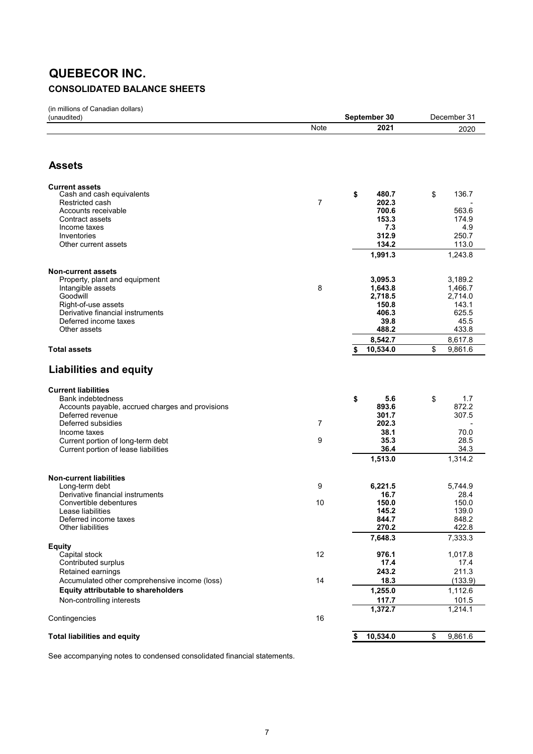## **QUEBECOR INC. CONSOLIDATED BALANCE SHEETS**

(in millions of Canadian dollars)

| (In millions of Ganagian gollars)<br>(unaudited)                                            |                | September 30         | December 31      |
|---------------------------------------------------------------------------------------------|----------------|----------------------|------------------|
|                                                                                             | Note           | 2021                 | 2020             |
|                                                                                             |                |                      |                  |
| <b>Assets</b>                                                                               |                |                      |                  |
| <b>Current assets</b>                                                                       |                |                      | 136.7            |
| Cash and cash equivalents<br>Restricted cash                                                | 7              | \$<br>480.7<br>202.3 | \$               |
| Accounts receivable                                                                         |                | 700.6                | 563.6            |
| Contract assets                                                                             |                | 153.3                | 174.9            |
| Income taxes                                                                                |                | 7.3                  | 4.9              |
| Inventories                                                                                 |                | 312.9                | 250.7            |
| Other current assets                                                                        |                | 134.2                | 113.0            |
|                                                                                             |                | 1,991.3              | 1,243.8          |
| <b>Non-current assets</b>                                                                   |                |                      |                  |
| Property, plant and equipment                                                               |                | 3,095.3              | 3,189.2          |
| Intangible assets                                                                           | 8              | 1,643.8              | 1,466.7          |
| Goodwill                                                                                    |                | 2,718.5              | 2,714.0          |
| Right-of-use assets<br>Derivative financial instruments                                     |                | 150.8<br>406.3       | 143.1<br>625.5   |
| Deferred income taxes                                                                       |                | 39.8                 | 45.5             |
| Other assets                                                                                |                | 488.2                | 433.8            |
|                                                                                             |                | 8,542.7              | 8,617.8          |
| <b>Total assets</b>                                                                         |                | 10,534.0<br>S        | \$<br>9,861.6    |
| <b>Liabilities and equity</b>                                                               |                |                      |                  |
|                                                                                             |                |                      |                  |
| <b>Current liabilities</b>                                                                  |                |                      |                  |
| <b>Bank indebtedness</b>                                                                    |                | 5.6<br>\$            | 1.7<br>\$        |
| Accounts payable, accrued charges and provisions                                            |                | 893.6                | 872.2            |
| Deferred revenue<br>Deferred subsidies                                                      | $\overline{7}$ | 301.7<br>202.3       | 307.5            |
| Income taxes                                                                                |                | 38.1                 | 70.0             |
| Current portion of long-term debt                                                           | 9              | 35.3                 | 28.5             |
| Current portion of lease liabilities                                                        |                | 36.4                 | 34.3             |
|                                                                                             |                | 1,513.0              | 1,314.2          |
| <b>Non-current liabilities</b>                                                              |                |                      |                  |
| Long-term debt                                                                              | 9              | 6,221.5              | 5,744.9          |
| Derivative financial instruments                                                            |                | 16.7                 | 28.4             |
| Convertible debentures                                                                      | 10             | 150.0                | 150.0            |
| Lease liabilities                                                                           |                | 145.2                | 139.0            |
| Deferred income taxes<br><b>Other liabilities</b>                                           |                | 844.7<br>270.2       | 848.2<br>422.8   |
|                                                                                             |                | 7,648.3              | 7,333.3          |
| <b>Equity</b>                                                                               |                |                      |                  |
| Capital stock                                                                               | 12             | 976.1                | 1,017.8          |
| Contributed surplus                                                                         |                | 17.4                 | 17.4             |
| Retained earnings                                                                           |                | 243.2                | 211.3            |
| Accumulated other comprehensive income (loss)<br><b>Equity attributable to shareholders</b> | 14             | 18.3                 | (133.9)          |
|                                                                                             |                | 1,255.0              | 1,112.6          |
| Non-controlling interests                                                                   |                | 117.7<br>1,372.7     | 101.5<br>1,214.1 |
| Contingencies                                                                               | 16             |                      |                  |
|                                                                                             |                |                      |                  |
| <b>Total liabilities and equity</b>                                                         |                | 10,534.0<br>\$       | \$<br>9,861.6    |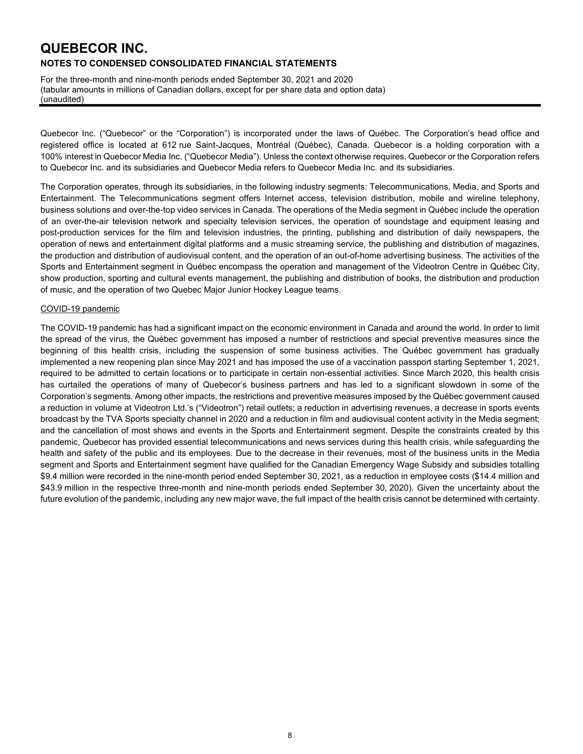For the three-month and nine-month periods ended September 30, 2021 and 2020 (tabular amounts in millions of Canadian dollars, except for per share data and option data) (unaudited)

Quebecor Inc. ("Quebecor" or the "Corporation") is incorporated under the laws of Québec. The Corporation's head office and registered office is located at 612 rue Saint-Jacques, Montréal (Québec), Canada. Quebecor is a holding corporation with a 100% interest in Quebecor Media Inc. ("Quebecor Media"). Unless the context otherwise requires, Quebecor or the Corporation refers to Quebecor Inc. and its subsidiaries and Quebecor Media refers to Quebecor Media Inc. and its subsidiaries.

The Corporation operates, through its subsidiaries, in the following industry segments: Telecommunications, Media, and Sports and Entertainment. The Telecommunications segment offers Internet access, television distribution, mobile and wireline telephony, business solutions and over-the-top video services in Canada. The operations of the Media segment in Québec include the operation of an over-the-air television network and specialty television services, the operation of soundstage and equipment leasing and post-production services for the film and television industries, the printing, publishing and distribution of daily newspapers, the operation of news and entertainment digital platforms and a music streaming service, the publishing and distribution of magazines, the production and distribution of audiovisual content, and the operation of an out-of-home advertising business. The activities of the Sports and Entertainment segment in Québec encompass the operation and management of the Videotron Centre in Québec City, show production, sporting and cultural events management, the publishing and distribution of books, the distribution and production of music, and the operation of two Quebec Major Junior Hockey League teams.

#### COVID-19 pandemic

The COVID-19 pandemic has had a significant impact on the economic environment in Canada and around the world. In order to limit the spread of the virus, the Québec government has imposed a number of restrictions and special preventive measures since the beginning of this health crisis, including the suspension of some business activities. The Québec government has gradually implemented a new reopening plan since May 2021 and has imposed the use of a vaccination passport starting September 1, 2021, required to be admitted to certain locations or to participate in certain non-essential activities. Since March 2020, this health crisis has curtailed the operations of many of Quebecor's business partners and has led to a significant slowdown in some of the Corporation's segments. Among other impacts, the restrictions and preventive measures imposed by the Québec government caused a reduction in volume at Videotron Ltd.'s ("Videotron") retail outlets; a reduction in advertising revenues, a decrease in sports events broadcast by the TVA Sports specialty channel in 2020 and a reduction in film and audiovisual content activity in the Media segment; and the cancellation of most shows and events in the Sports and Entertainment segment. Despite the constraints created by this pandemic, Quebecor has provided essential telecommunications and news services during this health crisis, while safeguarding the health and safety of the public and its employees. Due to the decrease in their revenues, most of the business units in the Media segment and Sports and Entertainment segment have qualified for the Canadian Emergency Wage Subsidy and subsidies totalling \$9.4 million were recorded in the nine-month period ended September 30, 2021, as a reduction in employee costs (\$14.4 million and \$43.9 million in the respective three-month and nine-month periods ended September 30, 2020). Given the uncertainty about the future evolution of the pandemic, including any new major wave, the full impact of the health crisis cannot be determined with certainty.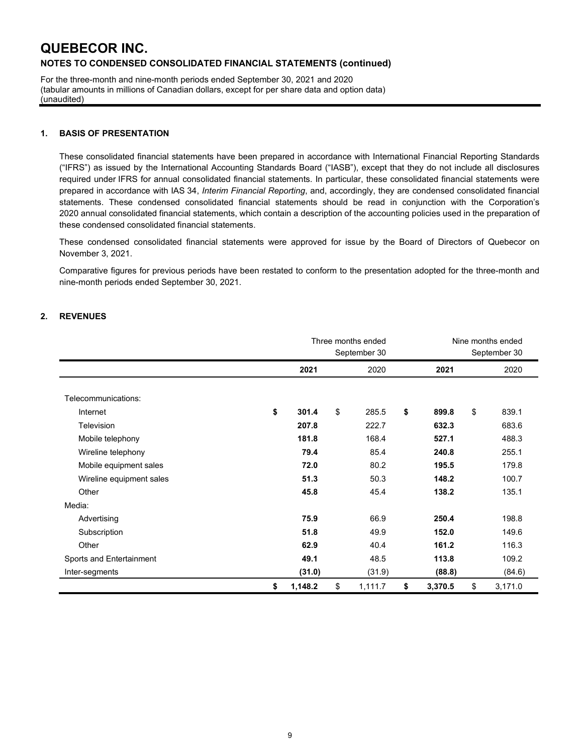For the three-month and nine-month periods ended September 30, 2021 and 2020 (tabular amounts in millions of Canadian dollars, except for per share data and option data) (unaudited)

#### **1. BASIS OF PRESENTATION**

These consolidated financial statements have been prepared in accordance with International Financial Reporting Standards ("IFRS") as issued by the International Accounting Standards Board ("IASB"), except that they do not include all disclosures required under IFRS for annual consolidated financial statements. In particular, these consolidated financial statements were prepared in accordance with IAS 34, *Interim Financial Reporting*, and, accordingly, they are condensed consolidated financial statements. These condensed consolidated financial statements should be read in conjunction with the Corporation's 2020 annual consolidated financial statements, which contain a description of the accounting policies used in the preparation of these condensed consolidated financial statements.

These condensed consolidated financial statements were approved for issue by the Board of Directors of Quebecor on November 3, 2021.

Comparative figures for previous periods have been restated to conform to the presentation adopted for the three-month and nine-month periods ended September 30, 2021.

#### **2. REVENUES**

|                          |               | Three months ended<br>September 30 |               | Nine months ended<br>September 30 |         |
|--------------------------|---------------|------------------------------------|---------------|-----------------------------------|---------|
|                          | 2021          | 2020                               | 2021          |                                   | 2020    |
| Telecommunications:      |               |                                    |               |                                   |         |
| Internet                 | \$<br>301.4   | \$<br>285.5                        | \$<br>899.8   | \$                                | 839.1   |
| Television               | 207.8         | 222.7                              | 632.3         |                                   | 683.6   |
| Mobile telephony         | 181.8         | 168.4                              | 527.1         |                                   | 488.3   |
| Wireline telephony       | 79.4          | 85.4                               | 240.8         |                                   | 255.1   |
| Mobile equipment sales   | 72.0          | 80.2                               | 195.5         |                                   | 179.8   |
| Wireline equipment sales | 51.3          | 50.3                               | 148.2         |                                   | 100.7   |
| Other                    | 45.8          | 45.4                               | 138.2         |                                   | 135.1   |
| Media:                   |               |                                    |               |                                   |         |
| Advertising              | 75.9          | 66.9                               | 250.4         |                                   | 198.8   |
| Subscription             | 51.8          | 49.9                               | 152.0         |                                   | 149.6   |
| Other                    | 62.9          | 40.4                               | 161.2         |                                   | 116.3   |
| Sports and Entertainment | 49.1          | 48.5                               | 113.8         |                                   | 109.2   |
| Inter-segments           | (31.0)        | (31.9)                             | (88.8)        |                                   | (84.6)  |
|                          | \$<br>1,148.2 | \$<br>1,111.7                      | \$<br>3,370.5 | \$                                | 3,171.0 |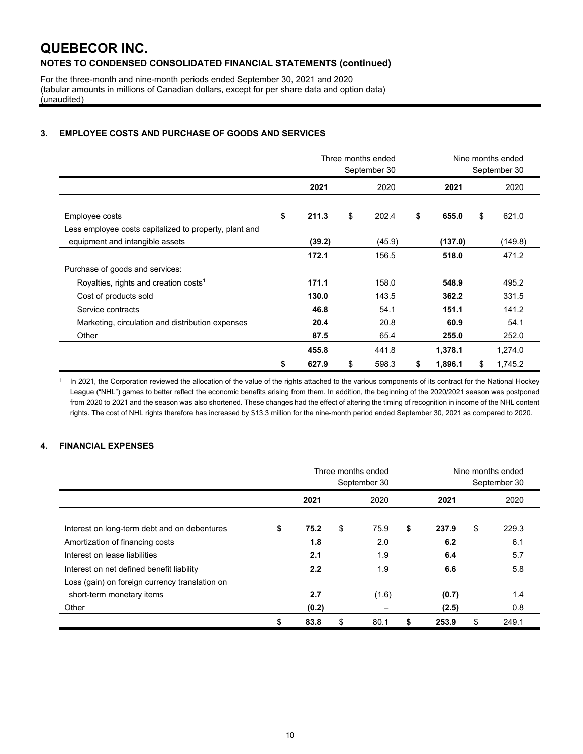For the three-month and nine-month periods ended September 30, 2021 and 2020 (tabular amounts in millions of Canadian dollars, except for per share data and option data) (unaudited)

#### **3. EMPLOYEE COSTS AND PURCHASE OF GOODS AND SERVICES**

|                                                                                           |             | Three months ended<br>September 30 |               | Nine months ended<br>September 30 |
|-------------------------------------------------------------------------------------------|-------------|------------------------------------|---------------|-----------------------------------|
|                                                                                           | 2021        | 2020                               | 2021          | 2020                              |
| Employee costs                                                                            | \$<br>211.3 | \$<br>202.4                        | \$<br>655.0   | \$<br>621.0                       |
| Less employee costs capitalized to property, plant and<br>equipment and intangible assets | (39.2)      | (45.9)                             | (137.0)       | (149.8)                           |
|                                                                                           | 172.1       | 156.5                              | 518.0         | 471.2                             |
| Purchase of goods and services:                                                           |             |                                    |               |                                   |
| Royalties, rights and creation costs <sup>1</sup>                                         | 171.1       | 158.0                              | 548.9         | 495.2                             |
| Cost of products sold                                                                     | 130.0       | 143.5                              | 362.2         | 331.5                             |
| Service contracts                                                                         | 46.8        | 54.1                               | 151.1         | 141.2                             |
| Marketing, circulation and distribution expenses                                          | 20.4        | 20.8                               | 60.9          | 54.1                              |
| Other                                                                                     | 87.5        | 65.4                               | 255.0         | 252.0                             |
|                                                                                           | 455.8       | 441.8                              | 1,378.1       | 1,274.0                           |
|                                                                                           | \$<br>627.9 | \$<br>598.3                        | \$<br>1,896.1 | \$<br>1,745.2                     |

<sup>1</sup> In 2021, the Corporation reviewed the allocation of the value of the rights attached to the various components of its contract for the National Hockey League ("NHL") games to better reflect the economic benefits arising from them. In addition, the beginning of the 2020/2021 season was postponed from 2020 to 2021 and the season was also shortened. These changes had the effect of altering the timing of recognition in income of the NHL content rights. The cost of NHL rights therefore has increased by \$13.3 million for the nine-month period ended September 30, 2021 as compared to 2020.

### **4. FINANCIAL EXPENSES**

|                                                |            | Three months ended<br>September 30 |             | Nine months ended<br>September 30 |
|------------------------------------------------|------------|------------------------------------|-------------|-----------------------------------|
|                                                | 2021       | 2020                               | 2021        | 2020                              |
| Interest on long-term debt and on debentures   | \$<br>75.2 | \$<br>75.9                         | \$<br>237.9 | \$<br>229.3                       |
| Amortization of financing costs                | 1.8        | 2.0                                | 6.2         | 6.1                               |
| Interest on lease liabilities                  | 2.1        | 1.9                                | 6.4         | 5.7                               |
| Interest on net defined benefit liability      | 2.2        | 1.9                                | 6.6         | 5.8                               |
| Loss (gain) on foreign currency translation on |            |                                    |             |                                   |
| short-term monetary items                      | 2.7        | (1.6)                              | (0.7)       | 1.4                               |
| Other                                          | (0.2)      |                                    | (2.5)       | 0.8                               |
|                                                | \$<br>83.8 | \$<br>80.1                         | \$<br>253.9 | \$<br>249.1                       |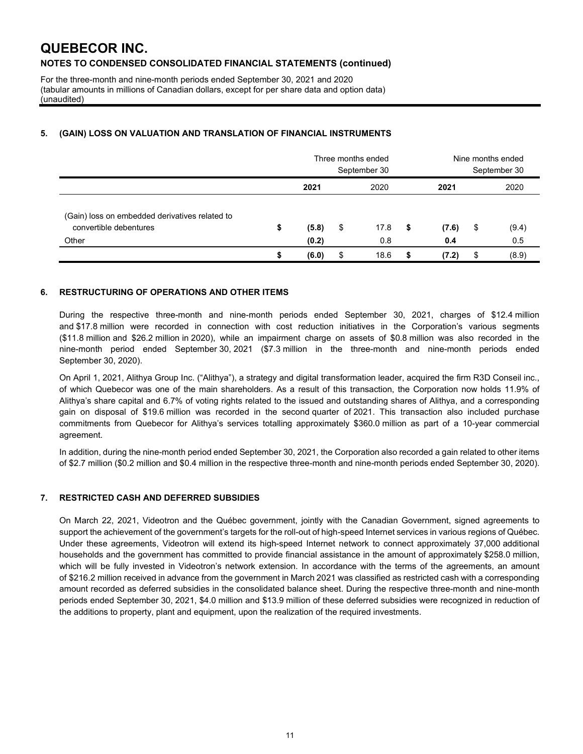For the three-month and nine-month periods ended September 30, 2021 and 2020 (tabular amounts in millions of Canadian dollars, except for per share data and option data) (unaudited)

#### **5. (GAIN) LOSS ON VALUATION AND TRANSLATION OF FINANCIAL INSTRUMENTS**

|                                                                          | Three months ended<br>September 30 |    |      |    |       | Nine months ended<br>September 30 |       |  |  |
|--------------------------------------------------------------------------|------------------------------------|----|------|----|-------|-----------------------------------|-------|--|--|
|                                                                          | 2021                               |    | 2020 |    | 2021  |                                   | 2020  |  |  |
| (Gain) loss on embedded derivatives related to<br>convertible debentures | \$<br>(5.8)                        | \$ | 17.8 | \$ | (7.6) | \$                                | (9.4) |  |  |
| Other                                                                    | (0.2)                              |    | 0.8  |    | 0.4   |                                   | 0.5   |  |  |
|                                                                          | \$<br>(6.0)                        | \$ | 18.6 | S  | (7.2) | S                                 | (8.9) |  |  |

#### **6. RESTRUCTURING OF OPERATIONS AND OTHER ITEMS**

During the respective three-month and nine-month periods ended September 30, 2021, charges of \$12.4 million and \$17.8 million were recorded in connection with cost reduction initiatives in the Corporation's various segments (\$11.8 million and \$26.2 million in 2020), while an impairment charge on assets of \$0.8 million was also recorded in the nine-month period ended September 30, 2021 (\$7.3 million in the three-month and nine-month periods ended September 30, 2020).

On April 1, 2021, Alithya Group Inc. ("Alithya"), a strategy and digital transformation leader, acquired the firm R3D Conseil inc., of which Quebecor was one of the main shareholders. As a result of this transaction, the Corporation now holds 11.9% of Alithya's share capital and 6.7% of voting rights related to the issued and outstanding shares of Alithya, and a corresponding gain on disposal of \$19.6 million was recorded in the second quarter of 2021. This transaction also included purchase commitments from Quebecor for Alithya's services totalling approximately \$360.0 million as part of a 10-year commercial agreement.

In addition, during the nine-month period ended September 30, 2021, the Corporation also recorded a gain related to other items of \$2.7 million (\$0.2 million and \$0.4 million in the respective three-month and nine-month periods ended September 30, 2020).

#### **7. RESTRICTED CASH AND DEFERRED SUBSIDIES**

On March 22, 2021, Videotron and the Québec government, jointly with the Canadian Government, signed agreements to support the achievement of the government's targets for the roll-out of high-speed Internet services in various regions of Québec. Under these agreements, Videotron will extend its high-speed Internet network to connect approximately 37,000 additional households and the government has committed to provide financial assistance in the amount of approximately \$258.0 million, which will be fully invested in Videotron's network extension. In accordance with the terms of the agreements, an amount of \$216.2 million received in advance from the government in March 2021 was classified as restricted cash with a corresponding amount recorded as deferred subsidies in the consolidated balance sheet. During the respective three-month and nine-month periods ended September 30, 2021, \$4.0 million and \$13.9 million of these deferred subsidies were recognized in reduction of the additions to property, plant and equipment, upon the realization of the required investments.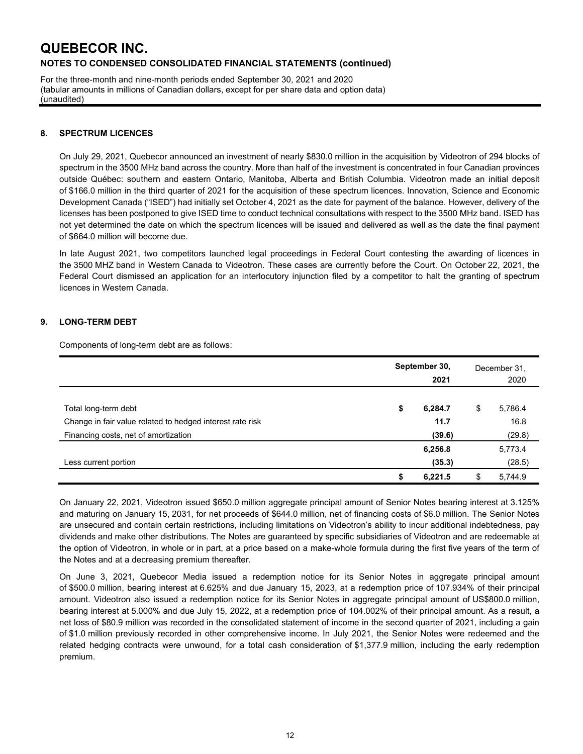For the three-month and nine-month periods ended September 30, 2021 and 2020 (tabular amounts in millions of Canadian dollars, except for per share data and option data) (unaudited)

#### **8. SPECTRUM LICENCES**

On July 29, 2021, Quebecor announced an investment of nearly \$830.0 million in the acquisition by Videotron of 294 blocks of spectrum in the 3500 MHz band across the country. More than half of the investment is concentrated in four Canadian provinces outside Québec: southern and eastern Ontario, Manitoba, Alberta and British Columbia. Videotron made an initial deposit of \$166.0 million in the third quarter of 2021 for the acquisition of these spectrum licences. Innovation, Science and Economic Development Canada ("ISED") had initially set October 4, 2021 as the date for payment of the balance. However, delivery of the licenses has been postponed to give ISED time to conduct technical consultations with respect to the 3500 MHz band. ISED has not yet determined the date on which the spectrum licences will be issued and delivered as well as the date the final payment of \$664.0 million will become due.

In late August 2021, two competitors launched legal proceedings in Federal Court contesting the awarding of licences in the 3500 MHZ band in Western Canada to Videotron. These cases are currently before the Court. On October 22, 2021, the Federal Court dismissed an application for an interlocutory injunction filed by a competitor to halt the granting of spectrum licences in Western Canada.

#### **9. LONG-TERM DEBT**

Components of long-term debt are as follows:

|                                                           | September 30, | December 31,<br>2020 |    |         |
|-----------------------------------------------------------|---------------|----------------------|----|---------|
| Total long-term debt                                      | \$            | 6,284.7              | \$ | 5,786.4 |
| Change in fair value related to hedged interest rate risk |               | 11.7                 |    | 16.8    |
| Financing costs, net of amortization                      |               | (39.6)               |    | (29.8)  |
|                                                           |               | 6,256.8              |    | 5,773.4 |
| Less current portion                                      |               | (35.3)               |    | (28.5)  |
|                                                           | ъ             | 6.221.5              | S  | 5.744.9 |

On January 22, 2021, Videotron issued \$650.0 million aggregate principal amount of Senior Notes bearing interest at 3.125% and maturing on January 15, 2031, for net proceeds of \$644.0 million, net of financing costs of \$6.0 million. The Senior Notes are unsecured and contain certain restrictions, including limitations on Videotron's ability to incur additional indebtedness, pay dividends and make other distributions. The Notes are guaranteed by specific subsidiaries of Videotron and are redeemable at the option of Videotron, in whole or in part, at a price based on a make-whole formula during the first five years of the term of the Notes and at a decreasing premium thereafter.

On June 3, 2021, Quebecor Media issued a redemption notice for its Senior Notes in aggregate principal amount of \$500.0 million, bearing interest at 6.625% and due January 15, 2023, at a redemption price of 107.934% of their principal amount. Videotron also issued a redemption notice for its Senior Notes in aggregate principal amount of US\$800.0 million, bearing interest at 5.000% and due July 15, 2022, at a redemption price of 104.002% of their principal amount. As a result, a net loss of \$80.9 million was recorded in the consolidated statement of income in the second quarter of 2021, including a gain of \$1.0 million previously recorded in other comprehensive income. In July 2021, the Senior Notes were redeemed and the related hedging contracts were unwound, for a total cash consideration of \$1,377.9 million, including the early redemption premium.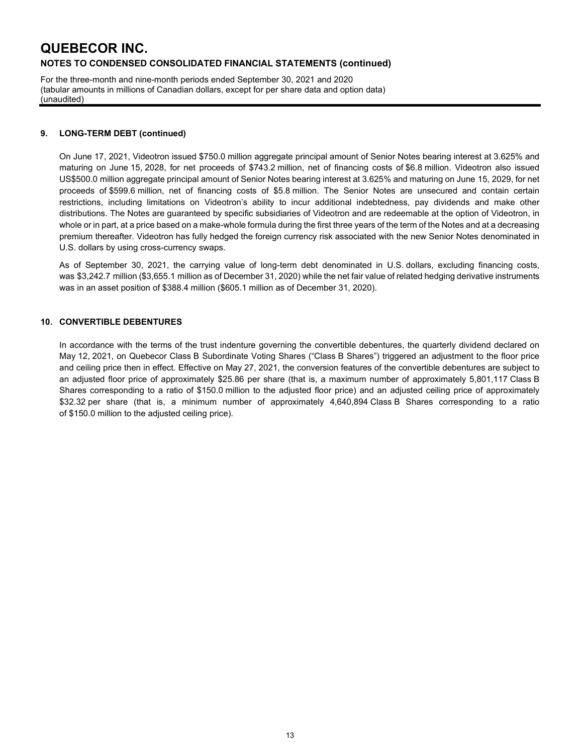For the three-month and nine-month periods ended September 30, 2021 and 2020 (tabular amounts in millions of Canadian dollars, except for per share data and option data) (unaudited)

#### **9. LONG-TERM DEBT (continued)**

On June 17, 2021, Videotron issued \$750.0 million aggregate principal amount of Senior Notes bearing interest at 3.625% and maturing on June 15, 2028, for net proceeds of \$743.2 million, net of financing costs of \$6.8 million. Videotron also issued US\$500.0 million aggregate principal amount of Senior Notes bearing interest at 3.625% and maturing on June 15, 2029, for net proceeds of \$599.6 million, net of financing costs of \$5.8 million. The Senior Notes are unsecured and contain certain restrictions, including limitations on Videotron's ability to incur additional indebtedness, pay dividends and make other distributions. The Notes are guaranteed by specific subsidiaries of Videotron and are redeemable at the option of Videotron, in whole or in part, at a price based on a make-whole formula during the first three years of the term of the Notes and at a decreasing premium thereafter. Videotron has fully hedged the foreign currency risk associated with the new Senior Notes denominated in U.S. dollars by using cross-currency swaps.

As of September 30, 2021, the carrying value of long-term debt denominated in U.S. dollars, excluding financing costs, was \$3,242.7 million (\$3,655.1 million as of December 31, 2020) while the net fair value of related hedging derivative instruments was in an asset position of \$388.4 million (\$605.1 million as of December 31, 2020).

#### **10. CONVERTIBLE DEBENTURES**

In accordance with the terms of the trust indenture governing the convertible debentures, the quarterly dividend declared on May 12, 2021, on Quebecor Class B Subordinate Voting Shares ("Class B Shares") triggered an adjustment to the floor price and ceiling price then in effect. Effective on May 27, 2021, the conversion features of the convertible debentures are subject to an adjusted floor price of approximately \$25.86 per share (that is, a maximum number of approximately 5,801,117 Class B Shares corresponding to a ratio of \$150.0 million to the adjusted floor price) and an adjusted ceiling price of approximately \$32.32 per share (that is, a minimum number of approximately 4,640,894 Class B Shares corresponding to a ratio of \$150.0 million to the adjusted ceiling price).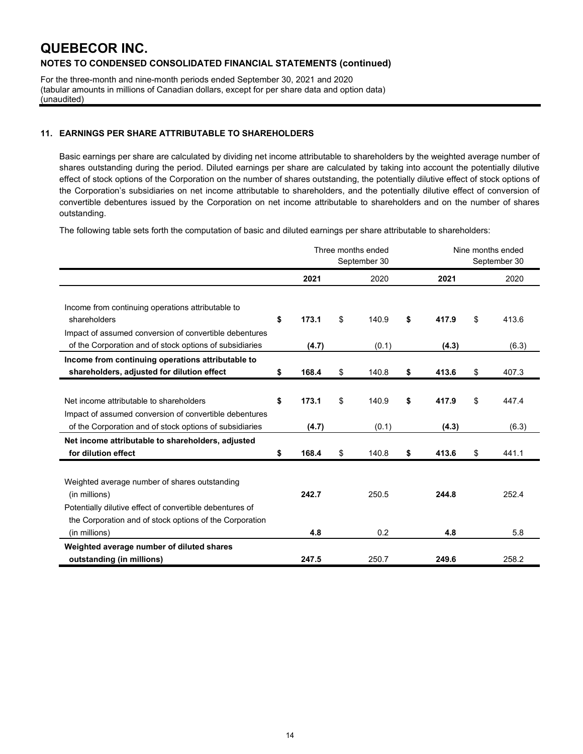For the three-month and nine-month periods ended September 30, 2021 and 2020 (tabular amounts in millions of Canadian dollars, except for per share data and option data) (unaudited)

### **11. EARNINGS PER SHARE ATTRIBUTABLE TO SHAREHOLDERS**

Basic earnings per share are calculated by dividing net income attributable to shareholders by the weighted average number of shares outstanding during the period. Diluted earnings per share are calculated by taking into account the potentially dilutive effect of stock options of the Corporation on the number of shares outstanding, the potentially dilutive effect of stock options of the Corporation's subsidiaries on net income attributable to shareholders, and the potentially dilutive effect of conversion of convertible debentures issued by the Corporation on net income attributable to shareholders and on the number of shares outstanding.

The following table sets forth the computation of basic and diluted earnings per share attributable to shareholders:

|                                                                                                                                                              |                      | Three months ended<br>September 30 |                      | Nine months ended<br>September 30 |
|--------------------------------------------------------------------------------------------------------------------------------------------------------------|----------------------|------------------------------------|----------------------|-----------------------------------|
|                                                                                                                                                              | 2021                 | 2020                               | 2021                 | 2020                              |
| Income from continuing operations attributable to<br>shareholders<br>Impact of assumed conversion of convertible debentures                                  | \$<br>173.1          | \$<br>140.9                        | \$<br>417.9          | \$<br>413.6                       |
| of the Corporation and of stock options of subsidiaries                                                                                                      | (4.7)                | (0.1)                              | (4.3)                | (6.3)                             |
| Income from continuing operations attributable to<br>shareholders, adjusted for dilution effect                                                              | \$<br>168.4          | \$<br>140.8                        | \$<br>413.6          | \$<br>407.3                       |
| Net income attributable to shareholders<br>Impact of assumed conversion of convertible debentures<br>of the Corporation and of stock options of subsidiaries | \$<br>173.1<br>(4.7) | \$<br>140.9<br>(0.1)               | \$<br>417.9<br>(4.3) | \$<br>447.4<br>(6.3)              |
| Net income attributable to shareholders, adjusted<br>for dilution effect                                                                                     | \$<br>168.4          | \$<br>140.8                        | \$<br>413.6          | \$<br>441.1                       |
| Weighted average number of shares outstanding<br>(in millions)<br>Potentially dilutive effect of convertible debentures of                                   | 242.7                | 250.5                              | 244.8                | 252.4                             |
| the Corporation and of stock options of the Corporation<br>(in millions)                                                                                     | 4.8                  | 0.2                                | 4.8                  | 5.8                               |
| Weighted average number of diluted shares<br>outstanding (in millions)                                                                                       | 247.5                | 250.7                              | 249.6                | 258.2                             |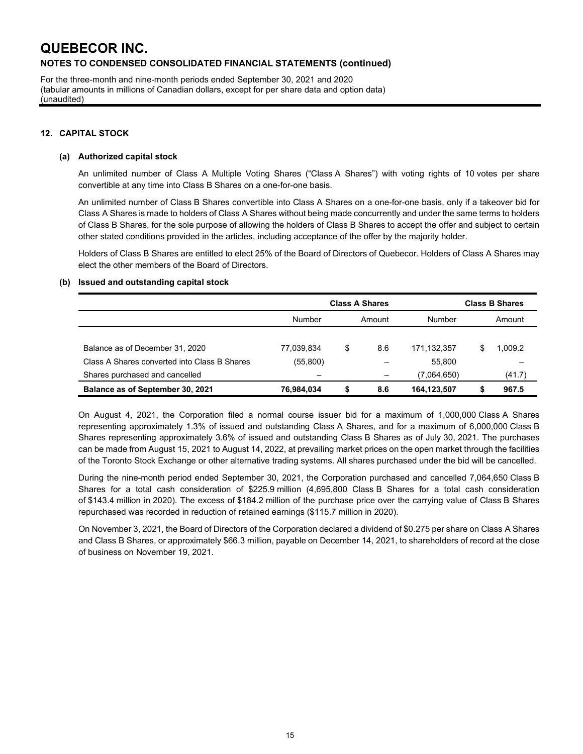For the three-month and nine-month periods ended September 30, 2021 and 2020 (tabular amounts in millions of Canadian dollars, except for per share data and option data) (unaudited)

#### **12. CAPITAL STOCK**

#### **(a) Authorized capital stock**

An unlimited number of Class A Multiple Voting Shares ("Class A Shares") with voting rights of 10 votes per share convertible at any time into Class B Shares on a one-for-one basis.

An unlimited number of Class B Shares convertible into Class A Shares on a one-for-one basis, only if a takeover bid for Class A Shares is made to holders of Class A Shares without being made concurrently and under the same terms to holders of Class B Shares, for the sole purpose of allowing the holders of Class B Shares to accept the offer and subject to certain other stated conditions provided in the articles, including acceptance of the offer by the majority holder.

Holders of Class B Shares are entitled to elect 25% of the Board of Directors of Quebecor. Holders of Class A Shares may elect the other members of the Board of Directors.

#### **(b) Issued and outstanding capital stock**

|                                              |            | <b>Class A Shares</b> |        | <b>Class B Shares</b> |   |         |  |  |
|----------------------------------------------|------------|-----------------------|--------|-----------------------|---|---------|--|--|
|                                              | Number     |                       | Amount | Number                |   |         |  |  |
|                                              |            |                       |        |                       |   |         |  |  |
| Balance as of December 31, 2020              | 77,039,834 | \$                    | 8.6    | 171.132.357           | S | 1.009.2 |  |  |
| Class A Shares converted into Class B Shares | (55,800)   |                       |        | 55.800                |   |         |  |  |
| Shares purchased and cancelled               | -          |                       | —      | (7,064,650)           |   | (41.7)  |  |  |
| Balance as of September 30, 2021             | 76,984,034 |                       | 8.6    | 164,123,507           |   | 967.5   |  |  |

On August 4, 2021, the Corporation filed a normal course issuer bid for a maximum of 1,000,000 Class A Shares representing approximately 1.3% of issued and outstanding Class A Shares, and for a maximum of 6,000,000 Class B Shares representing approximately 3.6% of issued and outstanding Class B Shares as of July 30, 2021. The purchases can be made from August 15, 2021 to August 14, 2022, at prevailing market prices on the open market through the facilities of the Toronto Stock Exchange or other alternative trading systems. All shares purchased under the bid will be cancelled.

During the nine-month period ended September 30, 2021, the Corporation purchased and cancelled 7,064,650 Class B Shares for a total cash consideration of \$225.9 million (4,695,800 Class B Shares for a total cash consideration of \$143.4 million in 2020). The excess of \$184.2 million of the purchase price over the carrying value of Class B Shares repurchased was recorded in reduction of retained earnings (\$115.7 million in 2020).

On November 3, 2021, the Board of Directors of the Corporation declared a dividend of \$0.275 per share on Class A Shares and Class B Shares, or approximately \$66.3 million, payable on December 14, 2021, to shareholders of record at the close of business on November 19, 2021.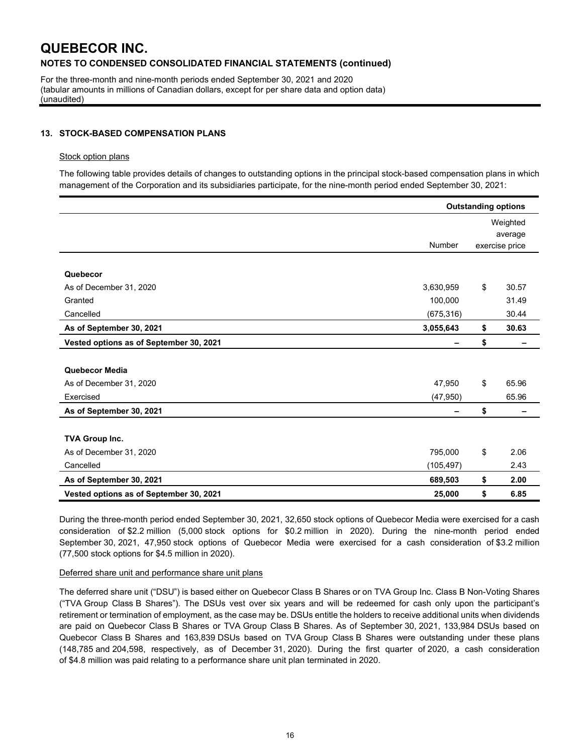For the three-month and nine-month periods ended September 30, 2021 and 2020 (tabular amounts in millions of Canadian dollars, except for per share data and option data) (unaudited)

#### **13. STOCK-BASED COMPENSATION PLANS**

#### **Stock option plans**

The following table provides details of changes to outstanding options in the principal stock-based compensation plans in which management of the Corporation and its subsidiaries participate, for the nine-month period ended September 30, 2021:

|                                         | <b>Outstanding options</b> |    |                     |  |  |  |
|-----------------------------------------|----------------------------|----|---------------------|--|--|--|
|                                         |                            |    | Weighted<br>average |  |  |  |
|                                         | <b>Number</b>              |    | exercise price      |  |  |  |
|                                         |                            |    |                     |  |  |  |
| Quebecor                                |                            |    |                     |  |  |  |
| As of December 31, 2020                 | 3,630,959                  | \$ | 30.57               |  |  |  |
| Granted                                 | 100,000                    |    | 31.49               |  |  |  |
| Cancelled                               | (675, 316)                 |    | 30.44               |  |  |  |
| As of September 30, 2021                | 3,055,643                  | \$ | 30.63               |  |  |  |
| Vested options as of September 30, 2021 |                            | \$ |                     |  |  |  |
|                                         |                            |    |                     |  |  |  |
| Quebecor Media                          |                            |    |                     |  |  |  |
| As of December 31, 2020                 | 47,950                     | \$ | 65.96               |  |  |  |
| Exercised                               | (47, 950)                  |    | 65.96               |  |  |  |
| As of September 30, 2021                |                            | \$ |                     |  |  |  |
|                                         |                            |    |                     |  |  |  |
| TVA Group Inc.                          |                            |    |                     |  |  |  |
| As of December 31, 2020                 | 795,000                    | \$ | 2.06                |  |  |  |
| Cancelled                               | (105, 497)                 |    | 2.43                |  |  |  |
| As of September 30, 2021                | 689,503                    | \$ | 2.00                |  |  |  |
| Vested options as of September 30, 2021 | 25,000                     | \$ | 6.85                |  |  |  |

During the three-month period ended September 30, 2021, 32,650 stock options of Quebecor Media were exercised for a cash consideration of \$2.2 million (5,000 stock options for \$0.2 million in 2020). During the nine-month period ended September 30, 2021, 47,950 stock options of Quebecor Media were exercised for a cash consideration of \$3.2 million (77,500 stock options for \$4.5 million in 2020).

#### Deferred share unit and performance share unit plans

The deferred share unit ("DSU") is based either on Quebecor Class B Shares or on TVA Group Inc. Class B Non-Voting Shares ("TVA Group Class B Shares"). The DSUs vest over six years and will be redeemed for cash only upon the participant's retirement or termination of employment, as the case may be. DSUs entitle the holders to receive additional units when dividends are paid on Quebecor Class B Shares or TVA Group Class B Shares. As of September 30, 2021, 133,984 DSUs based on Quebecor Class B Shares and 163,839 DSUs based on TVA Group Class B Shares were outstanding under these plans (148,785 and 204,598, respectively, as of December 31, 2020). During the first quarter of 2020, a cash consideration of \$4.8 million was paid relating to a performance share unit plan terminated in 2020.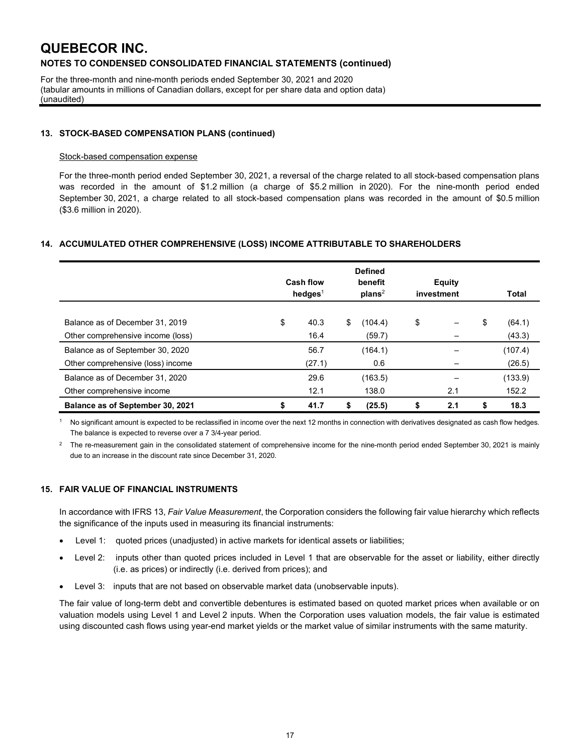For the three-month and nine-month periods ended September 30, 2021 and 2020 (tabular amounts in millions of Canadian dollars, except for per share data and option data) (unaudited)

#### **13. STOCK-BASED COMPENSATION PLANS (continued)**

#### Stock-based compensation expense

For the three-month period ended September 30, 2021, a reversal of the charge related to all stock-based compensation plans was recorded in the amount of \$1.2 million (a charge of \$5.2 million in 2020). For the nine-month period ended September 30, 2021, a charge related to all stock-based compensation plans was recorded in the amount of \$0.5 million (\$3.6 million in 2020).

#### **14. ACCUMULATED OTHER COMPREHENSIVE (LOSS) INCOME ATTRIBUTABLE TO SHAREHOLDERS**

|                                                                       | Cash flow<br>hedges $1$ |                |    | <b>Defined</b><br>benefit<br>plans <sup>2</sup> | <b>Equity</b><br>investment | Total                  |
|-----------------------------------------------------------------------|-------------------------|----------------|----|-------------------------------------------------|-----------------------------|------------------------|
| Balance as of December 31, 2019<br>Other comprehensive income (loss)  | \$                      | 40.3<br>16.4   | \$ | (104.4)<br>(59.7)                               | \$                          | \$<br>(64.1)<br>(43.3) |
| Balance as of September 30, 2020<br>Other comprehensive (loss) income |                         | 56.7<br>(27.1) |    | (164.1)<br>0.6                                  |                             | (107.4)<br>(26.5)      |
| Balance as of December 31, 2020<br>Other comprehensive income         |                         | 29.6<br>12.1   |    | (163.5)<br>138.0                                | 2.1                         | (133.9)<br>152.2       |
| Balance as of September 30, 2021                                      | \$                      | 41.7           |    | (25.5)                                          | \$<br>2.1                   | \$<br>18.3             |

<sup>1</sup> No significant amount is expected to be reclassified in income over the next 12 months in connection with derivatives designated as cash flow hedges. The balance is expected to reverse over a 7 3/4-year period.

<sup>2</sup> The re-measurement gain in the consolidated statement of comprehensive income for the nine-month period ended September 30, 2021 is mainly due to an increase in the discount rate since December 31, 2020.

#### **15. FAIR VALUE OF FINANCIAL INSTRUMENTS**

In accordance with IFRS 13, *Fair Value Measurement*, the Corporation considers the following fair value hierarchy which reflects the significance of the inputs used in measuring its financial instruments:

- Level 1: quoted prices (unadjusted) in active markets for identical assets or liabilities;
- Level 2: inputs other than quoted prices included in Level 1 that are observable for the asset or liability, either directly (i.e. as prices) or indirectly (i.e. derived from prices); and
- Level 3: inputs that are not based on observable market data (unobservable inputs).

The fair value of long-term debt and convertible debentures is estimated based on quoted market prices when available or on valuation models using Level 1 and Level 2 inputs. When the Corporation uses valuation models, the fair value is estimated using discounted cash flows using year-end market yields or the market value of similar instruments with the same maturity.